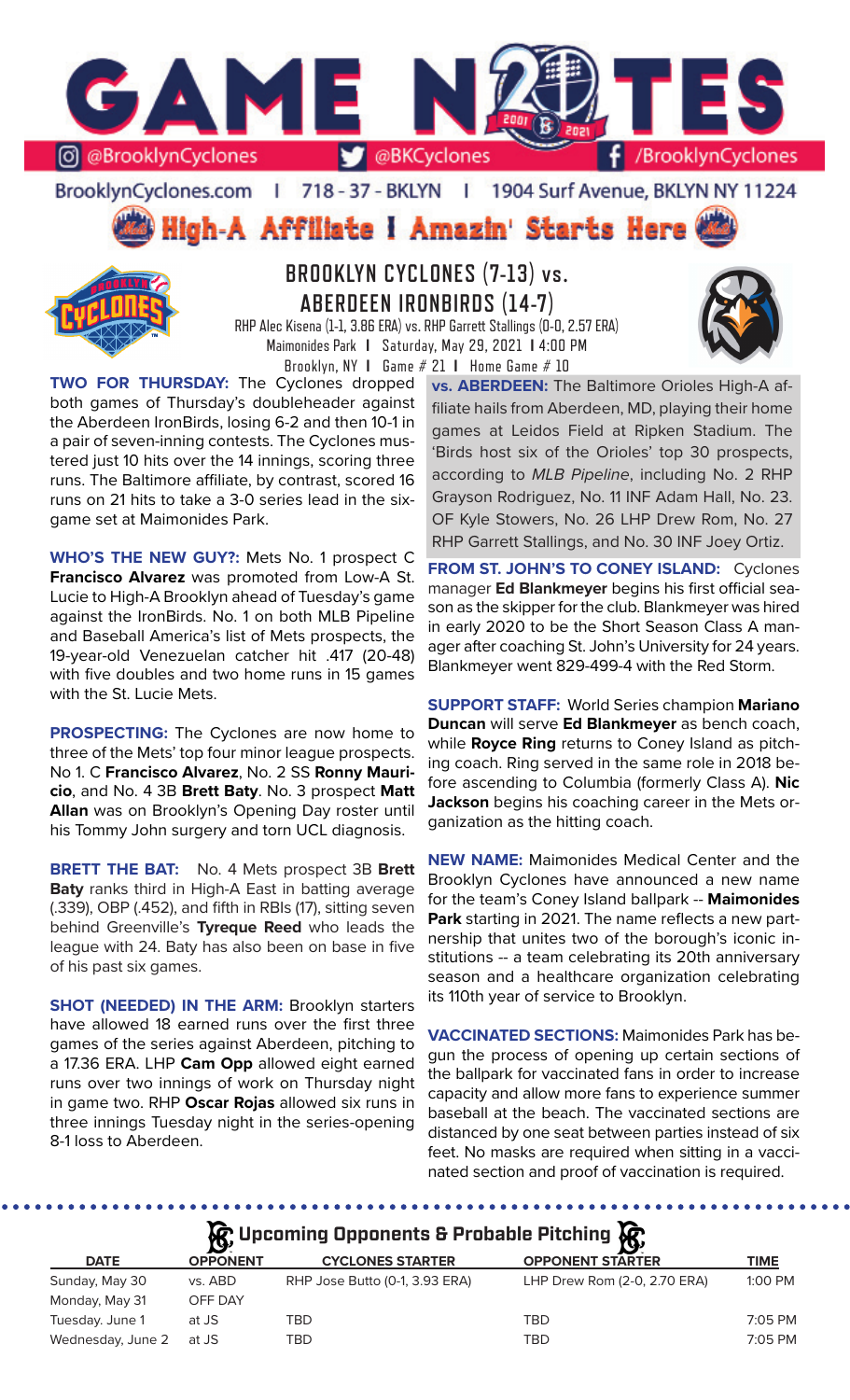

### BrooklynCyclones.com | 718 - 37 - BKLYN | 1904 Surf Avenue, BKLYN NY 11224

High-A Affiliate I Amazin' Starts Here



# **BROOKLYN CYCLONES (7-13) vs. ABERDEEN IRONBIRDS (14-7)**

RHP Alec Kisena (1-1, 3.86 ERA) vs. RHP Garrett Stallings (0-0, 2.57 ERA) Maimonides Park **I** Saturday, May 29, 2021 **I** 4:00 PM Brooklyn, NY **I** Game # 21 **I** Home Game # 10

**TWO FOR THURSDAY:** The Cyclones dropped both games of Thursday's doubleheader against

the Aberdeen IronBirds, losing 6-2 and then 10-1 in a pair of seven-inning contests. The Cyclones mustered just 10 hits over the 14 innings, scoring three runs. The Baltimore affiliate, by contrast, scored 16 runs on 21 hits to take a 3-0 series lead in the sixgame set at Maimonides Park.

**WHO'S THE NEW GUY?:** Mets No. 1 prospect C **Francisco Alvarez** was promoted from Low-A St. Lucie to High-A Brooklyn ahead of Tuesday's game against the IronBirds. No. 1 on both MLB Pipeline and Baseball America's list of Mets prospects, the 19-year-old Venezuelan catcher hit .417 (20-48) with five doubles and two home runs in 15 games with the St. Lucie Mets.

**PROSPECTING:** The Cyclones are now home to three of the Mets' top four minor league prospects. No 1. C **Francisco Alvarez**, No. 2 SS **Ronny Mauricio**, and No. 4 3B **Brett Baty**. No. 3 prospect **Matt Allan** was on Brooklyn's Opening Day roster until his Tommy John surgery and torn UCL diagnosis.

**BRETT THE BAT:** No. 4 Mets prospect 3B **Brett Baty** ranks third in High-A East in batting average (.339), OBP (.452), and fifth in RBIs (17), sitting seven behind Greenville's **Tyreque Reed** who leads the league with 24. Baty has also been on base in five of his past six games.

**SHOT (NEEDED) IN THE ARM:** Brooklyn starters have allowed 18 earned runs over the first three games of the series against Aberdeen, pitching to a 17.36 ERA. LHP **Cam Opp** allowed eight earned runs over two innings of work on Thursday night in game two. RHP **Oscar Rojas** allowed six runs in three innings Tuesday night in the series-opening 8-1 loss to Aberdeen.

**vs. ABERDEEN:** The Baltimore Orioles High-A affiliate hails from Aberdeen, MD, playing their home games at Leidos Field at Ripken Stadium. The 'Birds host six of the Orioles' top 30 prospects, according to *MLB Pipeline*, including No. 2 RHP Grayson Rodriguez, No. 11 INF Adam Hall, No. 23. OF Kyle Stowers, No. 26 LHP Drew Rom, No. 27 RHP Garrett Stallings, and No. 30 INF Joey Ortiz.

**FROM ST. JOHN'S TO CONEY ISLAND:** Cyclones manager **Ed Blankmeyer** begins his first official season as the skipper for the club. Blankmeyer was hired in early 2020 to be the Short Season Class A manager after coaching St. John's University for 24 years. Blankmeyer went 829-499-4 with the Red Storm.

**SUPPORT STAFF:** World Series champion **Mariano Duncan** will serve **Ed Blankmeyer** as bench coach, while **Royce Ring** returns to Coney Island as pitching coach. Ring served in the same role in 2018 before ascending to Columbia (formerly Class A). **Nic Jackson** begins his coaching career in the Mets organization as the hitting coach.

**NEW NAME:** Maimonides Medical Center and the Brooklyn Cyclones have announced a new name for the team's Coney Island ballpark -- **Maimonides Park** starting in 2021. The name reflects a new partnership that unites two of the borough's iconic institutions -- a team celebrating its 20th anniversary season and a healthcare organization celebrating its 110th year of service to Brooklyn.

**VACCINATED SECTIONS:** Maimonides Park has begun the process of opening up certain sections of the ballpark for vaccinated fans in order to increase capacity and allow more fans to experience summer baseball at the beach. The vaccinated sections are distanced by one seat between parties instead of six feet. No masks are required when sitting in a vaccinated section and proof of vaccination is required.

**A**: Upcoming Opponents & Probable Pitching  $\mathbb{R}$ 

|                   | $\mathbf{v}$    |                                | אַט                          |           |
|-------------------|-----------------|--------------------------------|------------------------------|-----------|
| <b>DATE</b>       | <b>OPPONENT</b> | <b>CYCLONES STARTER</b>        | <b>OPPONENT STARTER</b>      | TIME      |
| Sunday, May 30    | vs. ABD         | RHP Jose Butto (0-1, 3.93 ERA) | LHP Drew Rom (2-0, 2.70 ERA) | $1:00$ PM |
| Monday, May 31    | OFF DAY         |                                |                              |           |
| Tuesday. June 1   | at JS           | TBD                            | <b>TBD</b>                   | $7:05$ PM |
| Wednesday, June 2 | at JS           | TBD                            | TBD                          | 7:05 PM   |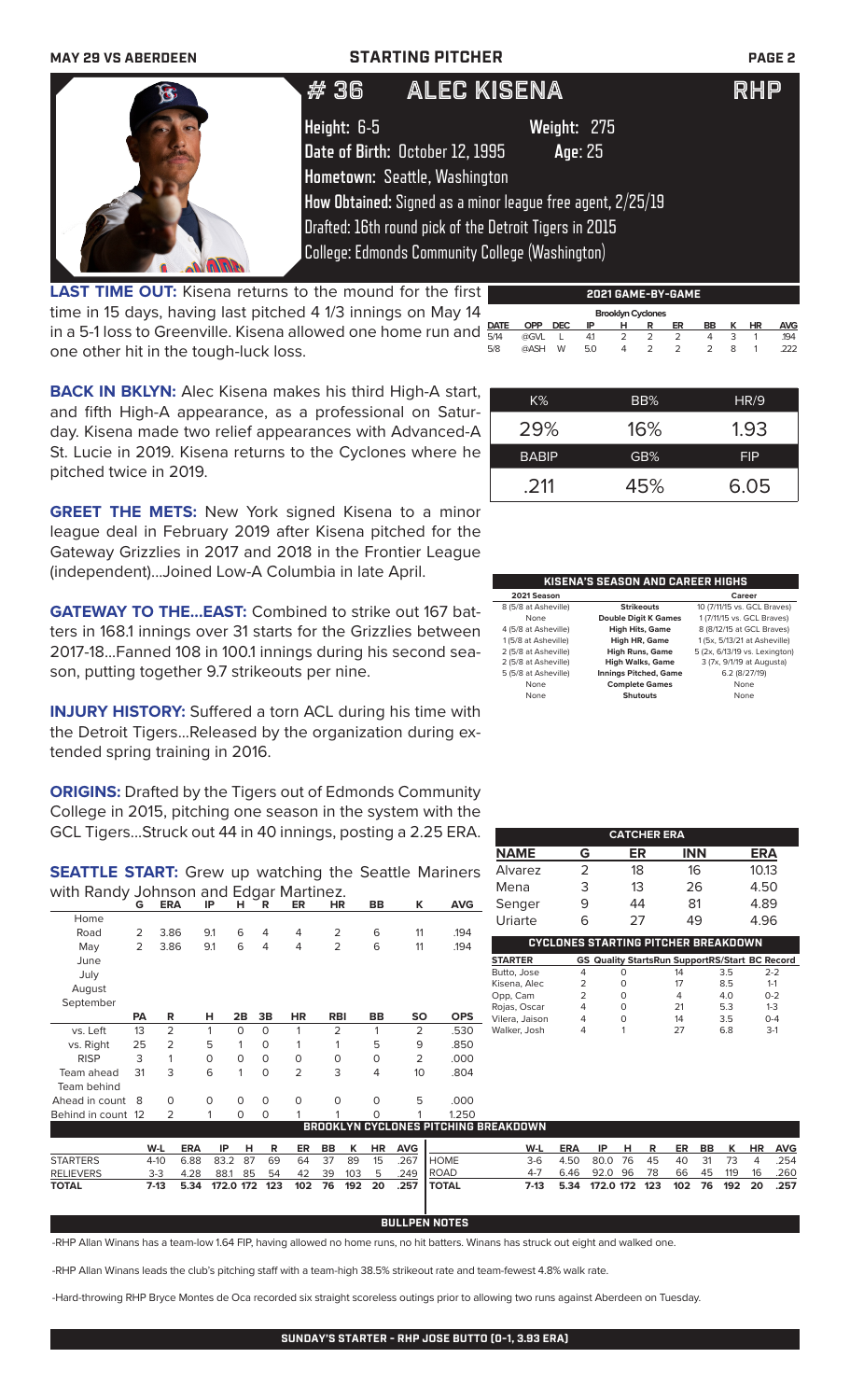| <b>MAY 29 VS ABERDEEN</b> |             | <b>STARTING PITCHER</b>                                |                                                            | <b>PAGE 2</b> |
|---------------------------|-------------|--------------------------------------------------------|------------------------------------------------------------|---------------|
|                           | #36         | ALEC KISENA                                            |                                                            | <b>RHP</b>    |
|                           | Height: 6-5 |                                                        | Weight: 275                                                |               |
|                           |             | Date of Birth: October 12, 1995                        | Age: 25                                                    |               |
|                           |             | Hometown: Seattle, Washington                          |                                                            |               |
|                           |             |                                                        | How Obtained: Signed as a minor league free agent, 2/25/19 |               |
|                           |             | Drafted: 16th round pick of the Detroit Tigers in 2015 |                                                            |               |
|                           |             | College: Edmonds Community College (Washington)        |                                                            |               |

**LAST TIME OUT:** Kisena returns to the mound for the first time in 15 days, having last pitched 4 1/3 innings on May 14 in a 5-1 loss to Greenville. Kisena allowed one home run and one other hit in the tough-luck loss.

|             | 2021 GAME-BY-GAME        |            |     |   |   |    |               |   |    |            |
|-------------|--------------------------|------------|-----|---|---|----|---------------|---|----|------------|
|             | <b>Brooklyn Cyclones</b> |            |     |   |   |    |               |   |    |            |
| <b>DATE</b> | <b>OPP</b>               | <b>DEC</b> | ΙP  | н | R | ER | BB            | к | ΗR | <b>AVG</b> |
| 5/14        | @GVL                     |            | 41  | 2 | 2 | 2  | 4             | 3 |    | 194        |
| 5/8         | @ASH                     | W          | 5.0 | 4 | 2 | 2  | $\mathcal{P}$ | 8 |    | 222        |
|             |                          |            |     |   |   |    |               |   |    |            |

**BACK IN BKLYN:** Alec Kisena makes his third High-A start, and fifth High-A appearance, as a professional on Saturday. Kisena made two relief appearances with Advanced-A St. Lucie in 2019. Kisena returns to the Cyclones where he pitched twice in 2019.

**GREET THE METS:** New York signed Kisena to a minor league deal in February 2019 after Kisena pitched for the Gateway Grizzlies in 2017 and 2018 in the Frontier League (independent)...Joined Low-A Columbia in late April.

**GATEWAY TO THE...EAST:** Combined to strike out 167 batters in 168.1 innings over 31 starts for the Grizzlies between 2017-18...Fanned 108 in 100.1 innings during his second season, putting together 9.7 strikeouts per nine.

**INJURY HISTORY:** Suffered a torn ACL during his time with the Detroit Tigers...Released by the organization during extended spring training in 2016.

**ORIGINS:** Drafted by the Tigers out of Edmonds Community College in 2015, pitching one season in the system with the GCL Tigers...Struck out 44 in 40 innings, posting a 2.25 ERA.

**SEATTLE START:** Grew up watching the Seattle Mariners with Randy Johnson and Edgar Martinez.

|                 | G         | <b>ERA</b>     | IP           | н        | R              | ER             | HR         | BB        | к              | <b>AVG</b>                               | S6          |
|-----------------|-----------|----------------|--------------|----------|----------------|----------------|------------|-----------|----------------|------------------------------------------|-------------|
| Home            |           |                |              |          |                |                |            |           |                |                                          | U           |
| Road            | 2         | 3.86           | 9.1          | 6        | $\overline{4}$ | 4              | 2          | 6         | 11             | .194                                     |             |
| May             | 2         | 3.86           | 9.1          | 6        | $\overline{4}$ | 4              | 2          | 6         | 11             | .194                                     |             |
| June            |           |                |              |          |                |                |            |           |                |                                          | <b>STA</b>  |
| July            |           |                |              |          |                |                |            |           |                |                                          | But         |
| August          |           |                |              |          |                |                |            |           |                |                                          | Kise<br>Opp |
| September       |           |                |              |          |                |                |            |           |                |                                          | Roja        |
|                 | <b>PA</b> | R              | н            | 2B       | 3B             | ΗR             | <b>RBI</b> | <b>BB</b> | SO             | <b>OPS</b>                               | Vile        |
| vs. Left        | 13        | 2              | 1            | $\Omega$ | $\Omega$       |                | 2          | 1         | 2              | .530                                     | Wal         |
| vs. Right       | 25        | $\overline{2}$ | 5            | 1        | $\Omega$       |                |            | 5         | 9              | .850                                     |             |
| <b>RISP</b>     | 3         | 1              | $\mathsf{O}$ | $\Omega$ | $\Omega$       | $\Omega$       | O          | O         | $\overline{2}$ | .000                                     |             |
| Team ahead      | 31        | 3              | 6            | 1        | 0              | $\overline{2}$ | 3          | 4         | 10             | .804                                     |             |
| Team behind     |           |                |              |          |                |                |            |           |                |                                          |             |
| Ahead in count  | -8        | 0              | 0            | 0        | 0              | $\Omega$       | $\Omega$   | $\Omega$  | 5              | .000                                     |             |
| Behind in count | -12       | 2              | 1            | 0        | 0              | 1              | 1          | $\Omega$  | 1              | 1.250                                    |             |
|                 |           |                |              |          |                |                |            |           |                | <b>BROOKLYN CYCLONES PITCHING BREA</b> I |             |

| $K\%$        | BB% | HR/9       |
|--------------|-----|------------|
| 29%          | 16% | 1.93       |
| <b>BABIP</b> | GB% | <b>FIP</b> |
| .211         | 45% | 6.05       |

| KISENA'S SEASON AND CAREER HIGHS |                              |                               |  |  |  |  |
|----------------------------------|------------------------------|-------------------------------|--|--|--|--|
| 2021 Season                      |                              | Career                        |  |  |  |  |
| 8 (5/8 at Asheville)             | <b>Strikeouts</b>            | 10 (7/11/15 vs. GCL Braves)   |  |  |  |  |
| None                             | <b>Double Digit K Games</b>  | 1 (7/11/15 vs. GCL Braves)    |  |  |  |  |
| 4 (5/8 at Asheville)             | <b>High Hits, Game</b>       | 8 (8/12/15 at GCL Braves)     |  |  |  |  |
| 1 (5/8 at Asheville)             | High HR, Game                | 1 (5x, 5/13/21 at Asheville)  |  |  |  |  |
| 2 (5/8 at Asheville)             | <b>High Runs, Game</b>       | 5 (2x, 6/13/19 vs. Lexington) |  |  |  |  |
| 2 (5/8 at Asheville)             | <b>High Walks, Game</b>      | 3 (7x, 9/1/19 at Augusta)     |  |  |  |  |
| 5 (5/8 at Asheville)             | <b>Innings Pitched, Game</b> | 6.2 (8/27/19)                 |  |  |  |  |
| None                             | <b>Complete Games</b>        | None                          |  |  |  |  |
| None                             | <b>Shutouts</b>              | None                          |  |  |  |  |

| <b>CATCHER ERA</b>                                                         |               |    |            |            |  |  |  |  |
|----------------------------------------------------------------------------|---------------|----|------------|------------|--|--|--|--|
| <b>NAME</b>                                                                | G             | ER | <b>INN</b> | <b>ERA</b> |  |  |  |  |
| Alvarez                                                                    | $\mathcal{P}$ | 18 | 16         | 10.13      |  |  |  |  |
| Mena                                                                       | 3             | 13 | 26         | 4.50       |  |  |  |  |
| Senger                                                                     | 9             | 44 | 81         | 4.89       |  |  |  |  |
| Uriarte                                                                    | 6             | 27 | 49         | 4.96       |  |  |  |  |
| <b>CYCLONES STARTING PITCHER BREAKDOWN</b>                                 |               |    |            |            |  |  |  |  |
| CC. Outline Claude Book Concert LOC (Claude D.C. Barrow)<br><b>CTADTED</b> |               |    |            |            |  |  |  |  |

|   | 14 | 3.5 | $2-2$                                                 |
|---|----|-----|-------------------------------------------------------|
|   | 17 | 85  | $1 - 1$                                               |
| Ω | 4  | 40  | $0 - 2$                                               |
|   | 21 | 5.3 | $1 - 3$                                               |
|   | 14 | 35  | $0 - 4$                                               |
|   | 27 | 68  | $3-1$                                                 |
|   |    |     | <b>GS Quality StartsRun SupportRS/Start BC Record</b> |

| Behind in count 12 2                 |          |            |         | $\Omega$ | $\left( \right)$ |       |      |         |      |               | 1250                                             |      |      |                    |      |    |    |               |                |        |
|--------------------------------------|----------|------------|---------|----------|------------------|-------|------|---------|------|---------------|--------------------------------------------------|------|------|--------------------|------|----|----|---------------|----------------|--------|
| BROOKLYN CYCLONES PITCHING BREAKDOWN |          |            |         |          |                  |       |      |         |      |               |                                                  |      |      |                    |      |    |    |               |                |        |
|                                      | W-L      | <b>ERA</b> | IP.     | HR.      |                  |       |      | ER BB K |      | <b>HR AVG</b> |                                                  | W-L  | ERA  | IP HR              |      |    |    | ER BB K       |                | HR AVG |
| <b>STARTERS</b>                      | $4 - 10$ | 6.88       | 83.2 87 |          | 69               | 64 37 |      | - 89    | - 15 | - 267         | <b>I</b> HOME                                    | 3-6  | 4.50 | 80.0 76            | -45  | 40 | 31 | - 73          | $\overline{a}$ | .254   |
| <b>RELIEVERS</b>                     | $3 - 3$  | 4.28       |         |          | 88.1 85 54       | 42    | - 39 | 103     | 5    | .249          | <b>I ROAD</b>                                    |      | 6.46 | 92.0 96            | - 78 |    |    | 66 45 119     | 16             | .260   |
| <b>TOTAL</b>                         |          |            |         |          |                  |       |      |         |      |               | 7-13 5.34 172.0 172 123 102 76 192 20 .257 TOTAL | 7-13 |      | 5.34 172.0 172 123 |      |    |    | 102 76 192 20 |                | .257   |

### **BULLPEN NOTES**

-RHP Allan Winans has a team-low 1.64 FIP, having allowed no home runs, no hit batters. Winans has struck out eight and walked one.

-RHP Allan Winans leads the club's pitching staff with a team-high 38.5% strikeout rate and team-fewest 4.8% walk rate.

-Hard-throwing RHP Bryce Montes de Oca recorded six straight scoreless outings prior to allowing two runs against Aberdeen on Tuesday.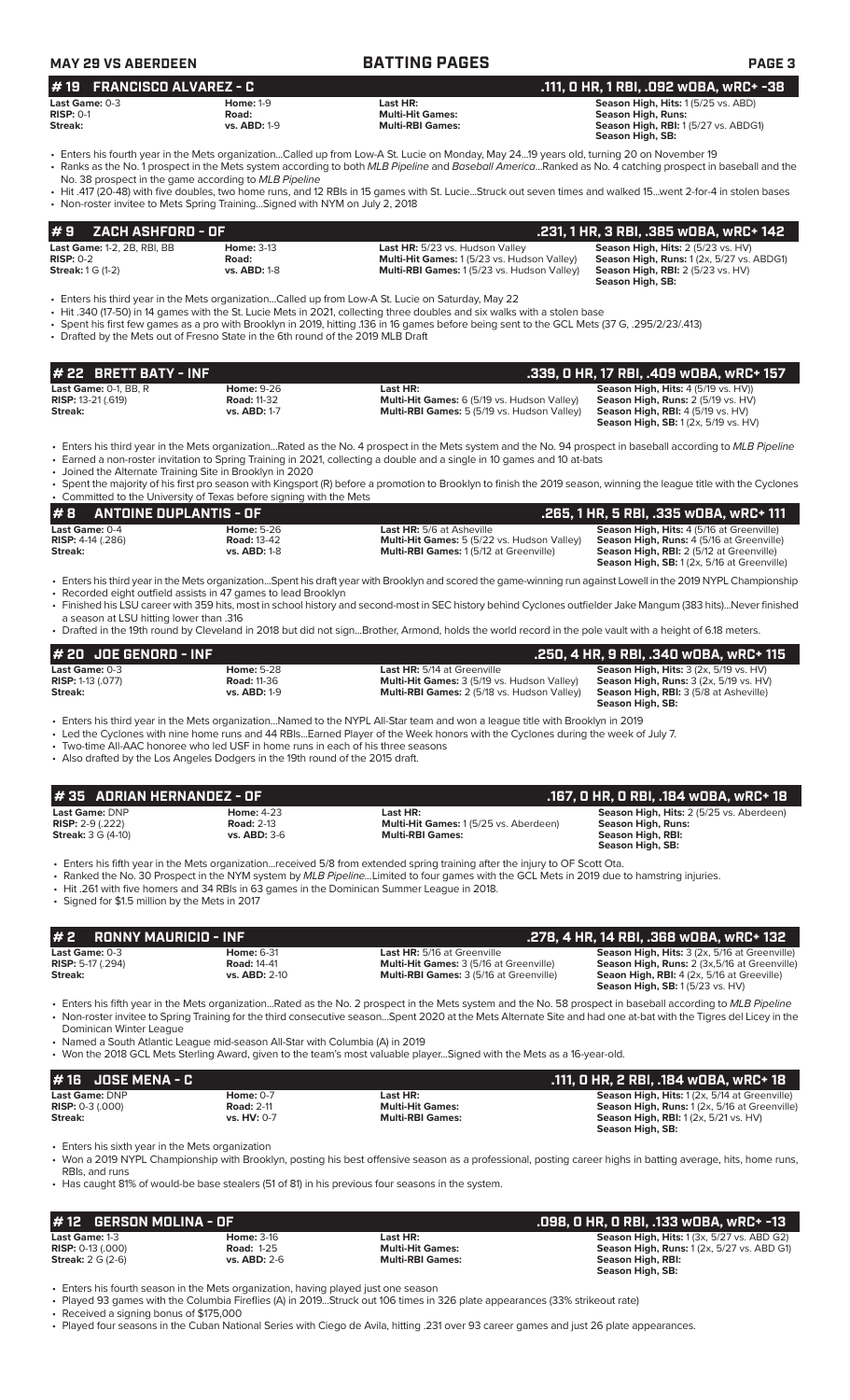| <b>MAY 29 VS ABERDEEN</b>                                                                                                                                                                                                                                                                      |                                                   | <b>BATTING PAGES</b>                                                                                                                                                                                                                                                                                                                                                                                                                                                 | <b>PAGE 3</b>                                                                                                                                   |  |
|------------------------------------------------------------------------------------------------------------------------------------------------------------------------------------------------------------------------------------------------------------------------------------------------|---------------------------------------------------|----------------------------------------------------------------------------------------------------------------------------------------------------------------------------------------------------------------------------------------------------------------------------------------------------------------------------------------------------------------------------------------------------------------------------------------------------------------------|-------------------------------------------------------------------------------------------------------------------------------------------------|--|
| <b>FRANCISCO ALVAREZ - C</b><br>l # 19                                                                                                                                                                                                                                                         |                                                   |                                                                                                                                                                                                                                                                                                                                                                                                                                                                      | .111, O HR, 1 RBI, .092 wOBA, wRC+ -38                                                                                                          |  |
| Season High, Hits: 1(5/25 vs. ABD)<br>Last Game: $0-3$<br><b>Home: 1-9</b><br>Last HR:<br><b>Season High, Runs:</b><br>$RISP: 0-1$<br><b>Multi-Hit Games:</b><br>Road:<br>Season High, RBI: 1(5/27 vs. ABDG1)<br><b>vs. ABD: 1-9</b><br><b>Multi-RBI Games:</b><br>Streak:<br>Season High, SB: |                                                   |                                                                                                                                                                                                                                                                                                                                                                                                                                                                      |                                                                                                                                                 |  |
| No. 38 prospect in the game according to MLB Pipeline<br>• Non-roster invitee to Mets Spring TrainingSigned with NYM on July 2, 2018                                                                                                                                                           |                                                   | • Enters his fourth year in the Mets organizationCalled up from Low-A St. Lucie on Monday, May 2419 years old, turning 20 on November 19<br>• Ranks as the No. 1 prospect in the Mets system according to both MLB Pipeline and Baseball AmericaRanked as No. 4 catching prospect in baseball and the<br>• Hit .417 (20-48) with five doubles, two home runs, and 12 RBIs in 15 games with St. LucieStruck out seven times and walked 15went 2-for-4 in stolen bases |                                                                                                                                                 |  |
| ZACH ASHFORD - OF<br>#9                                                                                                                                                                                                                                                                        |                                                   |                                                                                                                                                                                                                                                                                                                                                                                                                                                                      | .231, 1 HR, 3 RBI, .385 WOBA, WRC+ 142                                                                                                          |  |
| <b>Last Game: 1-2, 2B, RBI, BB</b><br>$RISP: 0-2$<br><b>Streak: 1 G (1-2)</b>                                                                                                                                                                                                                  | <b>Home: 3-13</b><br>Road:<br><b>vs. ABD: 1-8</b> | Last HR: 5/23 vs. Hudson Valley<br>Multi-Hit Games: 1 (5/23 vs. Hudson Valley)<br>Multi-RBI Games: 1(5/23 vs. Hudson Valley)                                                                                                                                                                                                                                                                                                                                         | Season High, Hits: 2 (5/23 vs. HV)<br>Season High, Runs: 1 (2x, 5/27 vs. ABDG1)<br><b>Season High, RBI: 2 (5/23 vs. HV)</b><br>Season High, SB: |  |

• Enters his third year in the Mets organization...Called up from Low-A St. Lucie on Saturday, May 22

- Hit .340 (17-50) in 14 games with the St. Lucie Mets in 2021, collecting three doubles and six walks with a stolen base
- Spent his first few games as a pro with Brooklyn in 2019, hitting .136 in 16 games before being sent to the GCL Mets (37 G, .295/2/23/.413)
- Drafted by the Mets out of Fresno State in the 6th round of the 2019 MLB Draft

| l# 22   BRETT BATY - INF                  |                    |                                                    | .339. O HR. 17 RBI. .409 WOBA. wRC+ 157           |
|-------------------------------------------|--------------------|----------------------------------------------------|---------------------------------------------------|
| <b>Last Game: <math>0-1</math>. BB. R</b> | <b>Home: 9-26</b>  | Last HR:                                           | <b>Season High, Hits: 4 (5/19 vs. HV))</b>        |
| <b>RISP:</b> 13-21 (.619)                 | <b>Road: 11-32</b> | Multi-Hit Games: 6 (5/19 vs. Hudson Valley)        | <b>Season High, Runs: 2 (5/19 vs. HV)</b>         |
| Streak:                                   | vs. ABD: 1-7       | <b>Multi-RBI Games:</b> 5 (5/19 vs. Hudson Valley) | <b>Season High, RBI:</b> $4(5/19 \text{ vs. HV})$ |
|                                           |                    |                                                    | <b>Season High, SB:</b> 1 (2x, 5/19 vs. HV)       |

• Enters his third year in the Mets organization...Rated as the No. 4 prospect in the Mets system and the No. 94 prospect in baseball according to *MLB Pipeline*

- Earned a non-roster invitation to Spring Training in 2021, collecting a double and a single in 10 games and 10 at-bats
- Joined the Alternate Training Site in Brooklyn in 2020 • Spent the majority of his first pro season with Kingsport (R) before a promotion to Brooklyn to finish the 2019 season, winning the league title with the Cyclones • Committed to the University of Texas before signing with the Mets

| 1#8<br>ANTOINE DUPLANTIS - OF |                    |                                                    | . 265, 1 HR, 5 RBI, .335 wOBA, <u>wRC+ 111</u>     |  |  |  |  |  |
|-------------------------------|--------------------|----------------------------------------------------|----------------------------------------------------|--|--|--|--|--|
| <b>Last Game: 0-4</b>         | <b>Home:</b> 5-26  | <b>Last HR:</b> 5/6 at Asheville                   | <b>Season High, Hits: 4 (5/16 at Greenville)</b>   |  |  |  |  |  |
| <b>RISP:</b> 4-14 (.286)      | <b>Road: 13-42</b> | <b>Multi-Hit Games:</b> 5 (5/22 vs. Hudson Valley) | <b>Season High, Runs: 4 (5/16 at Greenville)</b>   |  |  |  |  |  |
| Streak:                       | $vs.$ ABD: $1-8$   | <b>Multi-RBI Games: 1(5/12 at Greenville)</b>      | <b>Season High, RBI:</b> 2 (5/12 at Greenville)    |  |  |  |  |  |
|                               |                    |                                                    | <b>Season High, SB:</b> 1 (2x, 5/16 at Greenville) |  |  |  |  |  |

- Enters his third year in the Mets organization...Spent his draft year with Brooklyn and scored the game-winning run against Lowell in the 2019 NYPL Championship • Recorded eight outfield assists in 47 games to lead Brooklyn
- Finished his LSU career with 359 hits, most in school history and second-most in SEC history behind Cyclones outfielder Jake Mangum (383 hits)...Never finished
- a season at LSU hitting lower than .316 • Drafted in the 19th round by Cleveland in 2018 but did not sign...Brother, Armond, holds the world record in the pole vault with a height of 6.18 meters.

| $#$ 20 JDE GENORD - INF    |                     |                                                    | .250, 4 HR, 9 RBI, .340 w0BA, wRC+ 115                   |
|----------------------------|---------------------|----------------------------------------------------|----------------------------------------------------------|
| Last Game: 0-3             | <b>Home: 5-28</b>   | <b>Last HR:</b> 5/14 at Greenville                 | <b>Season High, Hits: 3 (2x, 5/19 vs. HV)</b>            |
| <b>RISP:</b> 1-13 $(.077)$ | <b>Road: 11-36</b>  | <b>Multi-Hit Games:</b> 3 (5/19 vs. Hudson Valley) | <b>Season High, Runs:</b> $3$ ( $2x$ , $5/19$ vs. $HV$ ) |
| Streak:                    | <b>vs. ABD: 1-9</b> | <b>Multi-RBI Games: 2 (5/18 vs. Hudson Valley)</b> | <b>Season High, RBI: 3 (5/8 at Asheville)</b>            |
|                            |                     |                                                    | Season High, SB:                                         |

• Enters his third year in the Mets organization...Named to the NYPL All-Star team and won a league title with Brooklyn in 2019

• Led the Cyclones with nine home runs and 44 RBIs...Earned Player of the Week honors with the Cyclones during the week of July 7.

- Two-time All-AAC honoree who led USF in home runs in each of his three seasons
- Also drafted by the Los Angeles Dodgers in the 19th round of the 2015 draft.

| $\#$ 35 ADRIAN HERNANDEZ - OF                                          |                                                               |                                                                                                                                                                                                                                                                                                                                                                       | .167. O HR. O RBI. .184 wOBA. wRC+ 18                                                                          |
|------------------------------------------------------------------------|---------------------------------------------------------------|-----------------------------------------------------------------------------------------------------------------------------------------------------------------------------------------------------------------------------------------------------------------------------------------------------------------------------------------------------------------------|----------------------------------------------------------------------------------------------------------------|
| Last Game: DNP<br><b>RISP:</b> 2-9 (.222)<br><b>Streak:</b> 3 G (4-10) | <b>Home: 4-23</b><br><b>Road: 2-13</b><br><b>vs. ABD: 3-6</b> | Last HR:<br><b>Multi-Hit Games:</b> 1(5/25 vs. Aberdeen)<br><b>Multi-RBI Games:</b>                                                                                                                                                                                                                                                                                   | Season High, Hits: 2 (5/25 vs. Aberdeen)<br><b>Season High, Runs:</b><br>Season High, RBI:<br>Season High, SB: |
|                                                                        |                                                               | • Enters his fifth year in the Mets organizationreceived 5/8 from extended spring training after the injury to OF Scott Ota.<br>• Ranked the No. 30 Prospect in the NYM system by MLB PipelineLimited to four games with the GCL Mets in 2019 due to hamstring injuries.<br>. Hit 261 with five homers and 34 PRIs in 63 games in the Dominican Summer League in 2018 |                                                                                                                |

• Hit .261 with five homers and 34 RBIs in 63 games in the Dominican Summer League in 2018.

• Signed for \$1.5 million by the Mets in 2017

| #2<br>.     RONNY MAURICIO - INF '                             |                                                                 |                                                                                                                                                              | . 278, 4 HR, 14 RBI, .368 wOBA, wRC+ 132. .                                                                                                                                                         |
|----------------------------------------------------------------|-----------------------------------------------------------------|--------------------------------------------------------------------------------------------------------------------------------------------------------------|-----------------------------------------------------------------------------------------------------------------------------------------------------------------------------------------------------|
| <b>Last Game: 0-3</b><br><b>RISP:</b> 5-17 $(.294)$<br>Streak: | <b>Home: 6-31</b><br><b>Road: 14-41</b><br><b>vs. ABD: 2-10</b> | <b>Last HR:</b> 5/16 at Greenville<br><b>Multi-Hit Games: 3 (5/16 at Greenville)</b><br><b>Multi-RBI Games: 3 (5/16 at Greenville)</b>                       | <b>Season High, Hits: 3 (2x, 5/16 at Greenville)</b><br>Season High, Runs: 2 (3x,5/16 at Greenville)<br><b>Seaon High, RBI:</b> 4 (2x, 5/16 at Greeville)<br><b>Season High, SB: 1(5/23 vs. HV)</b> |
|                                                                |                                                                 | • Enters his fifth year in the Mets organizationRated as the No. 2 prospect in the Mets system and the No. 58 prospect in baseball according to MLB Pipeline |                                                                                                                                                                                                     |

• Enters his fifth year in the Mets organization...Rated as the No. 2 prospect in the Mets system and the No. 58 prospect in baseball according to *MLB Pipeline* • Non-roster invitee to Spring Training for the third consecutive season...Spent 2020 at the Mets Alternate Site and had one at-bat with the Tigres del Licey in the Dominican Winter League

- Named a South Atlantic League mid-season All-Star with Columbia (A) in 2019
- Won the 2018 GCL Mets Sterling Award, given to the team's most valuable player...Signed with the Mets as a 16-year-old.

| $#16$ JOSE MENA - C       |                    |                         | , .111, O HR, 2 RBI, .184 wOBA, wRC+ 18.             |
|---------------------------|--------------------|-------------------------|------------------------------------------------------|
| Last Game: DNP            | Home: $0-7$        | Last HR:                | <b>Season High, Hits: 1 (2x, 5/14 at Greenville)</b> |
| <b>RISP:</b> $0-3$ (.000) | <b>Road: 2-11</b>  | <b>Multi-Hit Games:</b> | Season High, Runs: 1 (2x, 5/16 at Greenville)        |
| Streak:                   | <b>vs. HV: 0-7</b> | <b>Multi-RBI Games:</b> | <b>Season High, RBI:</b> 1 (2x, 5/21 vs. HV)         |
|                           |                    |                         | Season High, SB:                                     |

• Enters his sixth year in the Mets organization

- Won a 2019 NYPL Championship with Brooklyn, posting his best offensive season as a professional, posting career highs in batting average, hits, home runs, RBIs, and runs
- Has caught 81% of would-be base stealers (51 of 81) in his previous four seasons in the system.

| $#12$ GERSON MOLINA - OF   |                     |                         | , 098, 0 HR, 0 RBI, .133 w0BA, wRC+ -13 [         |
|----------------------------|---------------------|-------------------------|---------------------------------------------------|
| <b>Last Game: 1-3</b>      | <b>Home: 3-16</b>   | Last HR:                | <b>Season High, Hits: 1 (3x, 5/27 vs. ABD G2)</b> |
| <b>RISP:</b> $0-13$ (.000) | <b>Road: 1-25</b>   | <b>Multi-Hit Games:</b> | <b>Season High, Runs: 1 (2x, 5/27 vs. ABD G1)</b> |
| <b>Streak:</b> 2 G (2-6)   | <b>vs. ABD: 2-6</b> | <b>Multi-RBI Games:</b> | Season High, RBI:                                 |
|                            |                     |                         | Season High, SB:                                  |

• Enters his fourth season in the Mets organization, having played just one season

• Played 93 games with the Columbia Fireflies (A) in 2019...Struck out 106 times in 326 plate appearances (33% strikeout rate)

• Received a signing bonus of \$175,000

• Played four seasons in the Cuban National Series with Ciego de Avila, hitting .231 over 93 career games and just 26 plate appearances.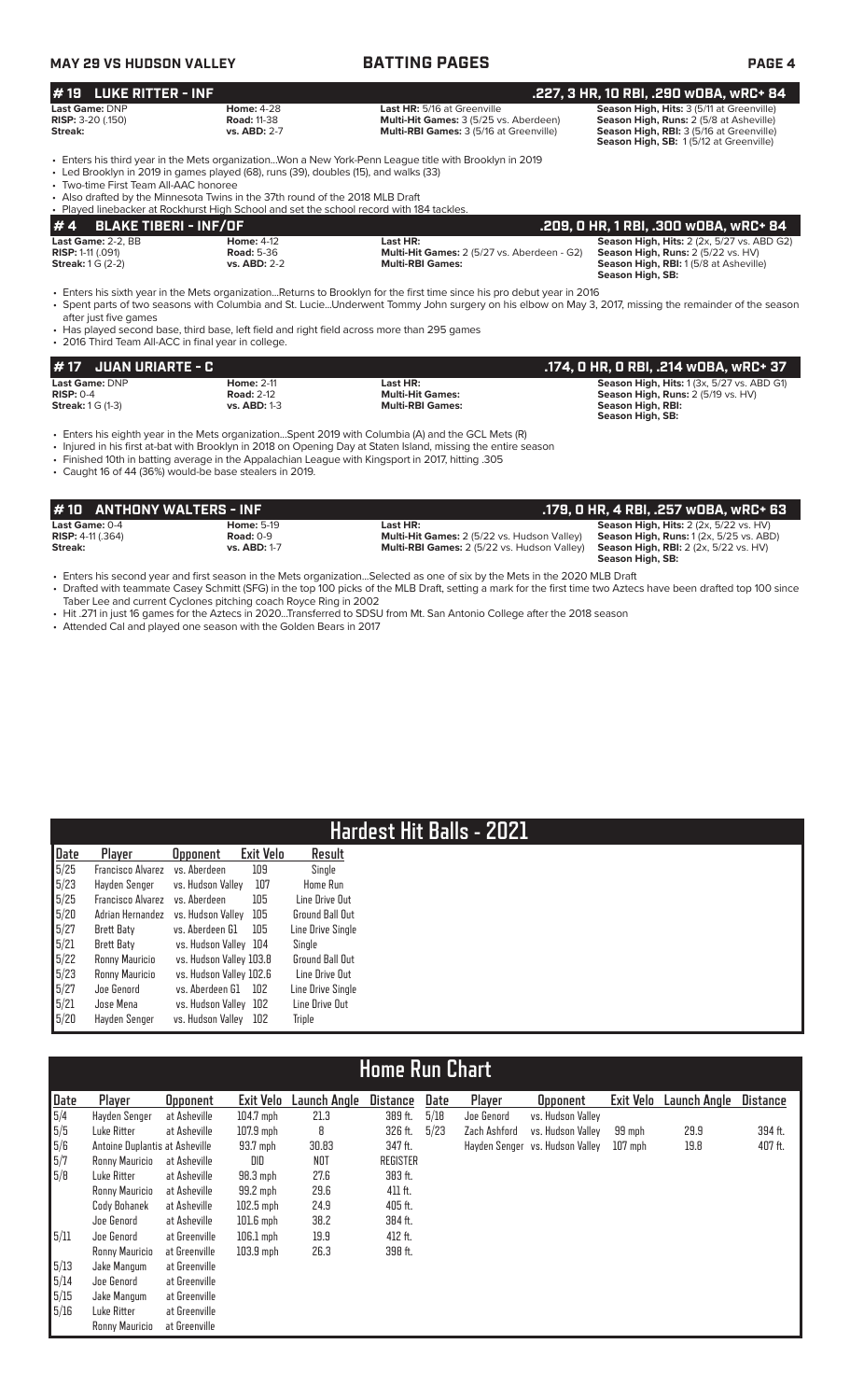# **MAY 29 VS HUDSON VALLEY BATTING PAGES PAGE 4**

| <b>LUKE RITTER - INF</b><br>#19                                                                                               |                                                                                                                                                                       |                                                                                                                                                                                                                                                                                                                           | .227, 3 HR, 10 RBI, .290 w0BA, wRC+ 84                                                                                                                                     |
|-------------------------------------------------------------------------------------------------------------------------------|-----------------------------------------------------------------------------------------------------------------------------------------------------------------------|---------------------------------------------------------------------------------------------------------------------------------------------------------------------------------------------------------------------------------------------------------------------------------------------------------------------------|----------------------------------------------------------------------------------------------------------------------------------------------------------------------------|
| Last Game: DNP<br>RISP: 3-20 (.150)<br>Streak:                                                                                | <b>Home: 4-28</b><br><b>Road: 11-38</b><br>vs. ABD: 2-7                                                                                                               | Last HR: 5/16 at Greenville<br>Multi-Hit Games: 3 (5/25 vs. Aberdeen)<br>Multi-RBI Games: 3 (5/16 at Greenville)                                                                                                                                                                                                          | Season High, Hits: 3 (5/11 at Greenville)<br>Season High, Runs: 2 (5/8 at Asheville)<br>Season High, RBI: 3 (5/16 at Greenville)<br>Season High, SB: 1(5/12 at Greenville) |
| • Two-time First Team All-AAC honoree                                                                                         | • Led Brooklyn in 2019 in games played (68), runs (39), doubles (15), and walks (33)<br>• Also drafted by the Minnesota Twins in the 37th round of the 2018 MLB Draft | • Enters his third year in the Mets organizationWon a New York-Penn League title with Brooklyn in 2019                                                                                                                                                                                                                    |                                                                                                                                                                            |
|                                                                                                                               | • Played linebacker at Rockhurst High School and set the school record with 184 tackles.                                                                              |                                                                                                                                                                                                                                                                                                                           |                                                                                                                                                                            |
| <b>BLAKE TIBERI - INF/OF</b><br>#4                                                                                            |                                                                                                                                                                       |                                                                                                                                                                                                                                                                                                                           | .209, 0 HR, 1 RBI, .300 w0BA, wRC+ 84                                                                                                                                      |
| Last Game: 2-2. BB<br><b>RISP: 1-11 (.091)</b><br><b>Streak: 1 G (2-2)</b>                                                    | <b>Home: 4-12</b><br><b>Road: 5-36</b><br><b>vs. ABD: 2-2</b>                                                                                                         | Last HR:<br>Multi-Hit Games: 2 (5/27 vs. Aberdeen - G2)<br><b>Multi-RBI Games:</b>                                                                                                                                                                                                                                        | Season High, Hits: 2 (2x, 5/27 vs. ABD G2)<br>Season High, Runs: 2 (5/22 vs. HV)<br>Season High, RBI: 1 (5/8 at Asheville)<br>Season High, SB:                             |
|                                                                                                                               |                                                                                                                                                                       |                                                                                                                                                                                                                                                                                                                           |                                                                                                                                                                            |
|                                                                                                                               |                                                                                                                                                                       | • Has played second base, third base, left field and right field across more than 295 games                                                                                                                                                                                                                               |                                                                                                                                                                            |
| <b>JUAN URIARTE - C</b>                                                                                                       |                                                                                                                                                                       |                                                                                                                                                                                                                                                                                                                           | .174, O HR, O RBI, .214 wOBA, wRC+ 37                                                                                                                                      |
|                                                                                                                               | <b>Home: 2-11</b><br><b>Road: 2-12</b><br><b>vs. ABD: 1-3</b>                                                                                                         | Last HR:<br><b>Multi-Hit Games:</b><br><b>Multi-RBI Games:</b>                                                                                                                                                                                                                                                            | Season High, Hits: 1 (3x, 5/27 vs. ABD G1)<br>Season High, Runs: 2 (5/19 vs. HV)<br><b>Season High, RBI:</b><br>Season High, SB:                                           |
| • 2016 Third Team All-ACC in final year in college.<br># 17<br>Last Game: DNP<br><b>RISP: 0-4</b><br><b>Streak: 1 G (1-3)</b> | • Caught 16 of 44 (36%) would-be base stealers in 2019.                                                                                                               | • Enters his eighth year in the Mets organizationSpent 2019 with Columbia (A) and the GCL Mets (R)<br>• Injured in his first at-bat with Brooklyn in 2018 on Opening Day at Staten Island, missing the entire season<br>. Finished 10th in batting average in the Appalachian League with Kingsport in 2017, hitting .305 |                                                                                                                                                                            |
| <b>ANTHONY WALTERS - INF</b><br>#10                                                                                           |                                                                                                                                                                       |                                                                                                                                                                                                                                                                                                                           | .179, 0 HR, 4 RBI, .257 wOBA, wRC+ 63                                                                                                                                      |
| Last Game: 0-4<br><b>RISP: 4-11 (.364)</b>                                                                                    | <b>Home: 5-19</b><br><b>Road: 0-9</b>                                                                                                                                 | Last HR:<br>Multi-Hit Games: 2 (5/22 vs. Hudson Valley)                                                                                                                                                                                                                                                                   | Season High, Hits: 2 (2x, 5/22 vs. HV)<br>Season High, Runs: 1(2x, 5/25 vs. ABD)                                                                                           |

• Enters his second year and first season in the Mets organization...Selected as one of six by the Mets in the 2020 MLB Draft • Drafted with teammate Casey Schmitt (SFG) in the top 100 picks of the MLB Draft, setting a mark for the first time two Aztecs have been drafted top 100 since Taber Lee and current Cyclones pitching coach Royce Ring in 2002

- Hit .271 in just 16 games for the Aztecs in 2020...Transferred to SDSU from Mt. San Antonio College after the 2018 season
- Attended Cal and played one season with the Golden Bears in 2017

# **Hardest Hit Balls - 2021**

| Date | Plaver            | <b>Opponent</b>         | Exit Velo | Result            |  |
|------|-------------------|-------------------------|-----------|-------------------|--|
| 5/25 | Francisco Alvarez | vs. Aberdeen            | 109       | Single            |  |
| 5/23 | Hayden Senger     | vs. Hudson Valley       | 107       | <b>Home Run</b>   |  |
| 5/25 | Francisco Alvarez | vs. Aberdeen            | 105       | Line Drive Out    |  |
| 5/20 | Adrian Hernandez  | vs. Hudson Valley       | 105       | Ground Ball Out   |  |
| 5/27 | Brett Baty        | vs. Aberdeen G1         | 105       | Line Drive Single |  |
| 5/21 | <b>Brett Baty</b> | vs. Hudson Valley       | 104       | Single            |  |
| 5/22 | Ronny Mauricio    | vs. Hudson Valley 103.8 |           | Ground Ball Out   |  |
| 5/23 | Ronny Mauricio    | vs. Hudson Valley 102.6 |           | Line Drive Out    |  |
| 5/27 | Joe Genord        | vs. Aberdeen G1         | 102       | Line Drive Single |  |
| 5/21 | Jose Mena         | vs. Hudson Valley       | 102       | Line Drive Out    |  |
| 5/20 | Hayden Senger     | vs. Hudson Valley       | 102       | Triple            |  |

# **Home Run Chart**

| Date | Player                         | <b>Opponent</b> | Exit Velo   | Launch Angle | Distance        | Date | Player       | <b>Opponent</b>                 | Exit Velo | Launch Angle | <b>Distance</b> |
|------|--------------------------------|-----------------|-------------|--------------|-----------------|------|--------------|---------------------------------|-----------|--------------|-----------------|
| 5/4  | Hayden Senger                  | at Asheville    | 104.7 mph   | 21.3         | 389 ft.         | 5/18 | Joe Genord   | vs. Hudson Valley               |           |              |                 |
| 5/5  | Luke Ritter                    | at Asheville    | $107.9$ mph | 8            | 326 ft.         | 5/23 | Zach Ashford | vs. Hudson Vallev               | 99 mph    | 29.9         | 394 ft.         |
| 5/6  | Antoine Duplantis at Asheville |                 | 93.7 mph    | 30.83        | 347 ft.         |      |              | Hayden Senger vs. Hudson Valley | $107$ mph | 19.8         | 407 ft.         |
| 5/7  | Ronny Mauricio                 | at Asheville    | DID         | NOT          | <b>REGISTER</b> |      |              |                                 |           |              |                 |
| 5/8  | Luke Ritter                    | at Asheville    | $98.3$ mph  | 27.6         | 383 ft.         |      |              |                                 |           |              |                 |
|      | Ronny Mauricio                 | at Asheville    | 99.2 mph    | 29.6         | 411 ft.         |      |              |                                 |           |              |                 |
|      | Cody Bohanek                   | at Asheville    | $102.5$ mph | 24.9         | 405 ft.         |      |              |                                 |           |              |                 |
|      | Joe Genord                     | at Asheville    | $101.6$ mph | 38.2         | 384 ft.         |      |              |                                 |           |              |                 |
| 5/11 | Joe Genord                     | at Greenville   | $106.1$ mph | 19.9         | 412 ft.         |      |              |                                 |           |              |                 |
|      | Ronny Mauricio                 | at Greenville   | $103.9$ mph | 26.3         | 398 ft.         |      |              |                                 |           |              |                 |
| 5/13 | Jake Mangum                    | at Greenville   |             |              |                 |      |              |                                 |           |              |                 |
| 5/14 | Joe Genord                     | at Greenville   |             |              |                 |      |              |                                 |           |              |                 |
| 5/15 | Jake Mangum                    | at Greenville   |             |              |                 |      |              |                                 |           |              |                 |
| 5/16 | Luke Ritter                    | at Greenville   |             |              |                 |      |              |                                 |           |              |                 |
|      | Ronny Mauricio                 | at Greenville   |             |              |                 |      |              |                                 |           |              |                 |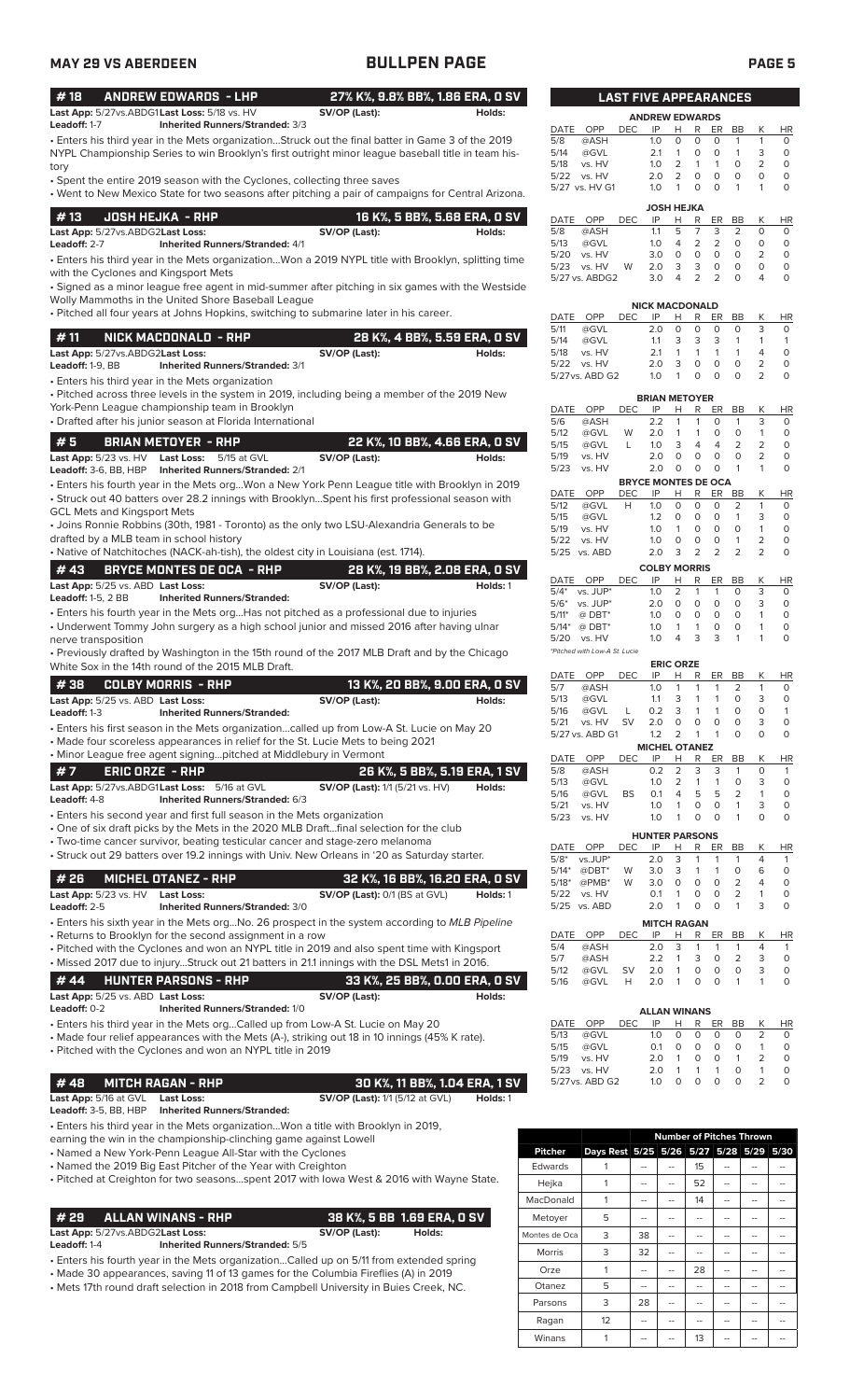### • Enters his third year in the Mets organization...Struck out the final batter in Game 3 of the 2019 **# 18 ANDREW EDWARDS - LHP 27% K%, 9.8% BB%, 1.86 ERA, 0 SV Last App:**  $5/27$ vs.ABDG1Last Loss:  $5/18$  vs. HV **SV/OP (Last):**<br> **Leadoff:** 1-7 **Inherited Runners/Stranded:** 3/3 **Inherited Runners/Stranded:** 3/3

NYPL Championship Series to win Brooklyn's first outright minor league baseball title in team history

• Spent the entire 2019 season with the Cyclones, collecting three saves

• Went to New Mexico State for two seasons after pitching a pair of campaigns for Central Arizona.

| l #13        | JOSH HEJKA  - RHP                      |               | 16 K%, 5 BB%, 5.68 ERA, 0 SV |
|--------------|----------------------------------------|---------------|------------------------------|
|              | Last App: 5/27vs.ABDG2Last Loss:       | SV/OP (Last): | Holds:                       |
| Leadoff: 2-7 | <b>Inherited Runners/Stranded: 4/1</b> |               |                              |

• Enters his third year in the Mets organization...Won a 2019 NYPL title with Brooklyn, splitting time with the Cyclones and Kingsport Mets

• Signed as a minor league free agent in mid-summer after pitching in six games with the Westside Wolly Mammoths in the United Shore Baseball League

• Pitched all four years at Johns Hopkins, switching to submarine later in his career.

| #11                              | NICK MACDONALD - RHP                   |               | , 28 K%, 4 BB%, 5.59 ERA, 0 SV ' |
|----------------------------------|----------------------------------------|---------------|----------------------------------|
| Last App: 5/27vs.ABDG2Last Loss: |                                        | SV/OP (Last): | Holds:                           |
| <b>Leadoff:</b> $1-9$ . $BB$     | <b>Inherited Runners/Stranded: 3/1</b> |               |                                  |

• Enters his third year in the Mets organization

• Pitched across three levels in the system in 2019, including being a member of the 2019 New York-Penn League championship team in Brooklyn

• Drafted after his junior season at Florida International

|                                              |  |  |               | 22 K%, 10 BB%, 4.66 ERA, 0 SV |
|----------------------------------------------|--|--|---------------|-------------------------------|
| Last App: 5/23 vs. HV Last Loss: 5/15 at GVL |  |  | SV/OP (Last): | Holds:                        |

• Enters his fourth year in the Mets org...Won a New York Penn League title with Brooklyn in 2019 • Struck out 40 batters over 28.2 innings with Brooklyn...Spent his first professional season with **Leadoff:** 3-6, BB, HBP **Inherited Runners/Stranded:** 2/1

GCL Mets and Kingsport Mets • Joins Ronnie Robbins (30th, 1981 - Toronto) as the only two LSU-Alexandria Generals to be drafted by a MLB team in school history

| • Native of Natchitoches (NACK-ah-tish), the oldest city in Louisiana (est. 1714). |  |
|------------------------------------------------------------------------------------|--|
|                                                                                    |  |

| <b>#43</b>                                      | BRYCE MONTES DE OCA  - RHP         |               | 28 K%, 19 BB%, 2.08 ERA, 0 SV |
|-------------------------------------------------|------------------------------------|---------------|-------------------------------|
| <b>Last App:</b> 5/25 vs. ABD <b>Last Loss:</b> |                                    | SV/OP (Last): | Holds: 1                      |
| <b>Leadoff:</b> 1-5, $2$ BB                     | <b>Inherited Runners/Stranded:</b> |               |                               |

• Enters his fourth year in the Mets org...Has not pitched as a professional due to injuries • Underwent Tommy John surgery as a high school junior and missed 2016 after having ulnar

nerve transposition

• Previously drafted by Washington in the 15th round of the 2017 MLB Draft and by the Chicago White Sox in the 14th round of the 2015 MLB Draft.

| 1 # 38      COLBY MORRIS  - RHP . |                                    |               | 13 K%, 20 BB%, 9.00 ERA, 0 SV' |
|-----------------------------------|------------------------------------|---------------|--------------------------------|
| Last App: 5/25 vs. ABD Last Loss: |                                    | SV/OP (Last): | Holds:                         |
| <b>Leadoff:</b> 1-3               | <b>Inherited Runners/Stranded:</b> |               |                                |

• Enters his first season in the Mets organization...called up from Low-A St. Lucie on May 20

• Made four scoreless appearances in relief for the St. Lucie Mets to being 2021

| • Minor League free agent signingpitched at Middlebury in Vermont |                                              |                                        |        |  |  |  |  |  |
|-------------------------------------------------------------------|----------------------------------------------|----------------------------------------|--------|--|--|--|--|--|
| #7<br>ERIC ORZE - RHP                                             |                                              | 26 K%. 5 BB%. 5.19 ERA. 1 SV           |        |  |  |  |  |  |
|                                                                   | Last App: 5/27vs.ABDG1Last Loss: 5/16 at GVL | <b>SV/OP (Last):</b> 1/1 (5/21 vs. HV) | Holds: |  |  |  |  |  |
| <b>Leadoff: 4-8</b>                                               | Inherited Runners/Stranded: 6/3              |                                        |        |  |  |  |  |  |

• Enters his second year and first full season in the Mets organization

• One of six draft picks by the Mets in the 2020 MLB Draft...final selection for the club

• Two-time cancer survivor, beating testicular cancer and stage-zero melanoma

• Struck out 29 batters over 19.2 innings with Univ. New Orleans in '20 as Saturday starter.

| #26                              | MICHEL OTANEZ - RHP                    | 32 K%. 16 BB%. 16.20 ERA. 0 SV     |          |
|----------------------------------|----------------------------------------|------------------------------------|----------|
| <b>Last App:</b> $5/23$ vs. $HV$ | Last Loss:                             | $SV$ /OP (Last): $0/1$ (BS at GVL) | Holds: 1 |
| <b>Leadoff:</b> 2-5              | <b>Inherited Runners/Stranded: 3/0</b> |                                    |          |

• Enters his sixth year in the Mets org...No. 26 prospect in the system according to *MLB Pipeline* • Returns to Brooklyn for the second assignment in a row

• Pitched with the Cyclones and won an NYPL title in 2019 and also spent time with Kingsport • Missed 2017 due to injury...Struck out 21 batters in 21.1 innings with the DSL Mets1 in 2016.

|                     |                                   | #44 HUNTER PARSONS - RHP               |               | , 33 K%. 25 BB%. 0.00 ERA. 0 SV ' |
|---------------------|-----------------------------------|----------------------------------------|---------------|-----------------------------------|
|                     | Last App: 5/25 vs. ABD Last Loss: |                                        | SV/OP (Last): | Holds:                            |
| <b>Leadoff:</b> 0-2 |                                   | <b>Inherited Runners/Stranded: 1/0</b> |               |                                   |
|                     |                                   | E. I.I. III II. AII CI AAI AMA         |               |                                   |

• Enters his third year in the Mets org...Called up from Low-A St. Lucie on May 20

• Made four relief appearances with the Mets (A-), striking out 18 in 10 innings (45% K rate). • Pitched with the Cyclones and won an NYPL title in 2019

### **# 48 MITCH RAGAN - RHP 30 K%, 11 BB%, 1.04 ERA, 1 SV**

**Last App:** 5/16 at GVL **Last Loss: SV/OP (Last):** 1/1 (5/12 at GVL) **Holds:** 1 **Inherited Runners/Stranded:** 

• Enters his third year in the Mets organization...Won a title with Brooklyn in 2019,

earning the win in the championship-clinching game against Lowell

• Named a New York-Penn League All-Star with the Cyclones

• Named the 2019 Big East Pitcher of the Year with Creighton

• Pitched at Creighton for two seasons...spent 2017 with Iowa West & 2016 with Wayne State.

**# 29 ALLAN WINANS - RHP 38 K%, 5 BB 1.69 ERA, 0 SV**

**Last App:** 5/27vs.ABDG2**Last Loss: SV/OP (Last): Holds:**

**Leadoff:** 1-4 **Inherited Runners/Stranded:** 5/5

• Enters his fourth year in the Mets organization...Called up on 5/11 from extended spring • Made 30 appearances, saving 11 of 13 games for the Columbia Fireflies (A) in 2019

• Mets 17th round draft selection in 2018 from Campbell University in Buies Creek, NC.

|             | <b>LAST FIVE APPEARANCES</b> |            |                       |          |                |                |           |   |          |  |  |
|-------------|------------------------------|------------|-----------------------|----------|----------------|----------------|-----------|---|----------|--|--|
|             |                              |            | <b>ANDREW EDWARDS</b> |          |                |                |           |   |          |  |  |
| <b>DATE</b> | OPP                          | <b>DEC</b> | IP                    | н        | R              | ER             | BB        | Κ | HR       |  |  |
| 5/8         | @ASH                         |            | 1.0                   | 0        | 0              | O              | 1         | 1 | $\Omega$ |  |  |
| 5/14        | @GVL                         |            | 2.1                   | 1        | 0              | O              | 1         | 3 | 0        |  |  |
| 5/18        | vs. HV                       |            | 1.0                   | 2        | 1              | 1              | O         | 2 | $\Omega$ |  |  |
| 5/22        | vs. HV                       |            | 2.0                   | 2        | 0              | O              | O         | 0 | $\Omega$ |  |  |
|             | 5/27 vs. HV G1               |            | 1.0                   | 1        | 0              | 0              | 1         | 1 | 0        |  |  |
|             |                              |            | <b>JOSH HEJKA</b>     |          |                |                |           |   |          |  |  |
| <b>DATE</b> | OPP                          | <b>DEC</b> | IP                    | н        | R              | ER             | <b>BB</b> | Κ | HR       |  |  |
| 5/8         | @ASH                         |            | 1.1                   | 5        | 7              | 3              | 2         | 0 | $\Omega$ |  |  |
| 5/13        | @GVL                         |            | 1.0                   | 4        | $\overline{2}$ | $\overline{2}$ | O         | 0 | $\Omega$ |  |  |
| 5/20        | vs. HV                       |            | 3.0                   | $\Omega$ | $\Omega$       | $\Omega$       | O         | 2 | 0        |  |  |
| 5/23        | vs. HV                       | W          | 2.0                   | 3        | 3              | 0              | O         | 0 | 0        |  |  |
|             | $5/27$ ys ARDG2              |            | っぃ                    | Δ        | っ              | っ              | ∩         | Δ | $\cap$   |  |  |

| <b>NICK MACDONALD</b> |                 |      |     |              |   |    |    |   |    |  |
|-----------------------|-----------------|------|-----|--------------|---|----|----|---|----|--|
| DATE                  | OPP             | DEC. | IP  | н            | R | ER | BB |   | ΗR |  |
| 5/11                  | @GVL            |      | 2 O | $\mathbf{O}$ | O | Ω  | O  | 3 |    |  |
| 5/14                  | @GVL            |      | 11  | 3            | 3 | 3  | 1  |   |    |  |
| 5/18                  | vs. HV          |      | 21  |              | 1 | 1  | 1  | Δ |    |  |
| 5/22                  | vs. HV          |      | 2 O | 3            | O | O  | O  |   |    |  |
|                       | 5/27 vs. ABD G2 |      | 1 ೧ |              |   |    | U  |   |    |  |

|                            |          |            | <b>BRIAN METOYER</b> |                |                |    |                |                |          |  |
|----------------------------|----------|------------|----------------------|----------------|----------------|----|----------------|----------------|----------|--|
| DATE                       | OPP      | DEC        | IP                   | н              | R              | ER | BB             | Κ              | ΗR       |  |
| 5/6                        | @ASH     |            | 2.2                  | 1              | 1              | 0  | 1              | 3              | 0        |  |
| 5/12                       | @GVL     | W          | 2.0                  | 1              | 1              | 0  | 0              | 1              | 0        |  |
| 5/15                       | @GVL     | L          | 1.0                  | 3              | 4              | 4  | $\overline{2}$ | $\overline{2}$ | O        |  |
| 5/19                       | vs. HV   |            | 2.0                  | O              | 0              | 0  | 0              | 2              | 0        |  |
| 5/23                       | vs. HV   |            | 2.0                  | 0              | 0              | 0  | 1              | 1              | O        |  |
| <b>BRYCE MONTES DE OCA</b> |          |            |                      |                |                |    |                |                |          |  |
| <b>DATE</b>                | OPP      | <b>DEC</b> | IP                   | н              | R              | ER | <b>BB</b>      | Κ              | ΗR       |  |
| 5/12                       | @GVL     | н          | 1.0                  | $\Omega$       | 0              | O  | $\overline{2}$ | 1              | 0        |  |
| 5/15                       | @GVL     |            | 1.2                  | $\Omega$       | 0              | 0  | 1              | 3              | 0        |  |
| 5/19                       | vs. HV   |            | 1.0                  | 1              | 0              | O  | Ω              | 1              | $\Omega$ |  |
| 5/22                       | vs. HV   |            | 1.0                  | $\Omega$       | 0              | O  | 1              | 2              | 0        |  |
| 5/25                       | vs. ABD  |            | 2.0                  | 3              | $\overline{2}$ | 2  | 2              | $\overline{2}$ | $\Omega$ |  |
| <b>COLBY MORRIS</b>        |          |            |                      |                |                |    |                |                |          |  |
| DATE                       | OPP      | DEC        | IP                   | н              | R              | ER | BB             | Κ              | ΗR       |  |
| $5/4*$                     | vs. JUP* |            | 1.0                  | $\overline{2}$ | 1              | 1  | O              | 3              | 0        |  |
| $5/6*$                     | vs. JUP* |            | 2.0                  | $\Omega$       | 0              | 0  | O              | 3              | $\Omega$ |  |
| $5/11*$                    | $@$ DBT* |            | 1.0                  | $\Omega$       | 0              | 0  | O              | 1              | 0        |  |
| $5/14*$                    | $@$ DBT* |            | 1.0                  | 1              | 1              | 0  | 0              | 1              | 0        |  |

*\*Pitched with Low-A St. Lucie*

5/20 vs. HV 1.0

|                       | <b>ERIC ORZE</b> |     |     |                |          |          |           |          |           |  |  |
|-----------------------|------------------|-----|-----|----------------|----------|----------|-----------|----------|-----------|--|--|
| DATE                  | OPP              | DEC | IP  | н              | R        | ER       | ВB        | Κ        | <b>HR</b> |  |  |
| 5/7                   | @ASH             |     | 1.0 | 1              | 1        | 1        | 2         | 1        | 0         |  |  |
| 5/13                  | @GVL             |     | 1.1 | 3              |          |          | O         | 3        | O         |  |  |
| 5/16                  | @GVL             | L   | 0.2 | 3              |          |          | O         | 0        | 1         |  |  |
| 5/21                  | vs. HV           | SV  | 2.0 | 0              | 0        | 0        | O         | 3        | 0         |  |  |
|                       | 5/27 vs. ABD G1  |     | 1.2 | 2              |          | 1        | 0         | 0        | 0         |  |  |
| <b>MICHEL OTANEZ</b>  |                  |     |     |                |          |          |           |          |           |  |  |
| <b>DATE</b>           | OPP              | DEC | IP  | н              | R        | ER       | BB        | К        | ΗR        |  |  |
| 5/8                   | @ASH             |     | 0.2 | $\overline{2}$ | 3        | 3        | 1         | O        | 1         |  |  |
| 5/13                  | @GVL             |     | 1.0 | 2              | 1        | 1        | $\Omega$  | 3        | O         |  |  |
| 5/16                  | @GVL             | BS  | 0.1 | 4              | 5        | 5        | 2         | 1        | O         |  |  |
| 5/21                  | vs. HV           |     | 1.0 | 1              | $\Omega$ | $\Omega$ | 1         | 3        | O         |  |  |
| 5/23                  | vs. HV           |     | 1.0 | 1              | O        | $\Omega$ | 1         | $\Omega$ | O         |  |  |
| <b>HUNTER PARSONS</b> |                  |     |     |                |          |          |           |          |           |  |  |
| DATE                  | OPP              | DEC | IP  | Н              | R        | ER       | <b>BB</b> | Κ        | HR        |  |  |
| $5/8*$                | vs.JUP*          |     | 2.0 | 3              | 1        | 1        | 1         | 4        | 1         |  |  |
| $5/14*$               | $@DBT^*$         | W   | 3.0 | 3              |          |          | 0         | 6        | 0         |  |  |

| 5/18* @PMB* W 3.0 0 0 0 2 |                    |  |            |     |           |
|---------------------------|--------------------|--|------------|-----|-----------|
| 5/22 vs. HV               |                    |  | 01 1 0 0 2 |     |           |
| 5/25 vs. ABD              | 2.0 1 0 0 1        |  |            | - 3 |           |
|                           | <b>MITCH RAGAN</b> |  |            |     |           |
| DATE OPP                  | DEC IP H R ER BB   |  |            |     | <b>HR</b> |

| 5/4 @ASH |  |  |  | 2.0 3 1 1 1 4 1 |          |
|----------|--|--|--|-----------------|----------|
| 5/7 @ASH |  |  |  | 2.2 1 3 0 2 3 0 |          |
|          |  |  |  |                 | $\circ$  |
|          |  |  |  |                 | $\Omega$ |
|          |  |  |  |                 |          |

| <b>ALLAN WINANS</b> |                 |     |                |   |   |    |           |   |    |
|---------------------|-----------------|-----|----------------|---|---|----|-----------|---|----|
| <b>DATE</b>         | OPP             | DEC | IP             | н | R | ER | <b>BB</b> | K | HR |
| 5/13                | @GVL            |     | 1 <sub>O</sub> | O | O | Ο  | O         |   |    |
| 5/15                | @GVL            |     | O 1            | O | O | O  | O         |   |    |
| 5/19                | vs. HV          |     | 20             |   | O | O  | 1         |   |    |
| 5/23                | vs. HV          |     | 20             |   | 1 | 1  | U         |   |    |
|                     | 5/27 vs. ABD G2 |     | 1 $\cap$       | O | O | O  | O         |   |    |

|                |                                         |    | <b>Number of Pitches Thrown</b> |    |    |  |
|----------------|-----------------------------------------|----|---------------------------------|----|----|--|
| <b>Pitcher</b> | Days Rest 5/25 5/26 5/27 5/28 5/29 5/30 |    |                                 |    |    |  |
| Edwards        |                                         |    |                                 | 15 | -- |  |
| Hejka          |                                         |    |                                 | 52 |    |  |
| MacDonald      | 1                                       |    |                                 | 14 |    |  |
| Metoyer        | 5                                       |    |                                 |    |    |  |
| Montes de Oca  | 3                                       | 38 |                                 | -- | -- |  |
| <b>Morris</b>  | 3                                       | 32 |                                 |    |    |  |
| Orze           | 1                                       |    |                                 | 28 |    |  |
| Otanez         | 5                                       |    |                                 |    |    |  |
| Parsons        | 3                                       | 28 |                                 |    |    |  |
| Ragan          | 12                                      |    |                                 |    |    |  |
| Winans         |                                         |    |                                 | 13 |    |  |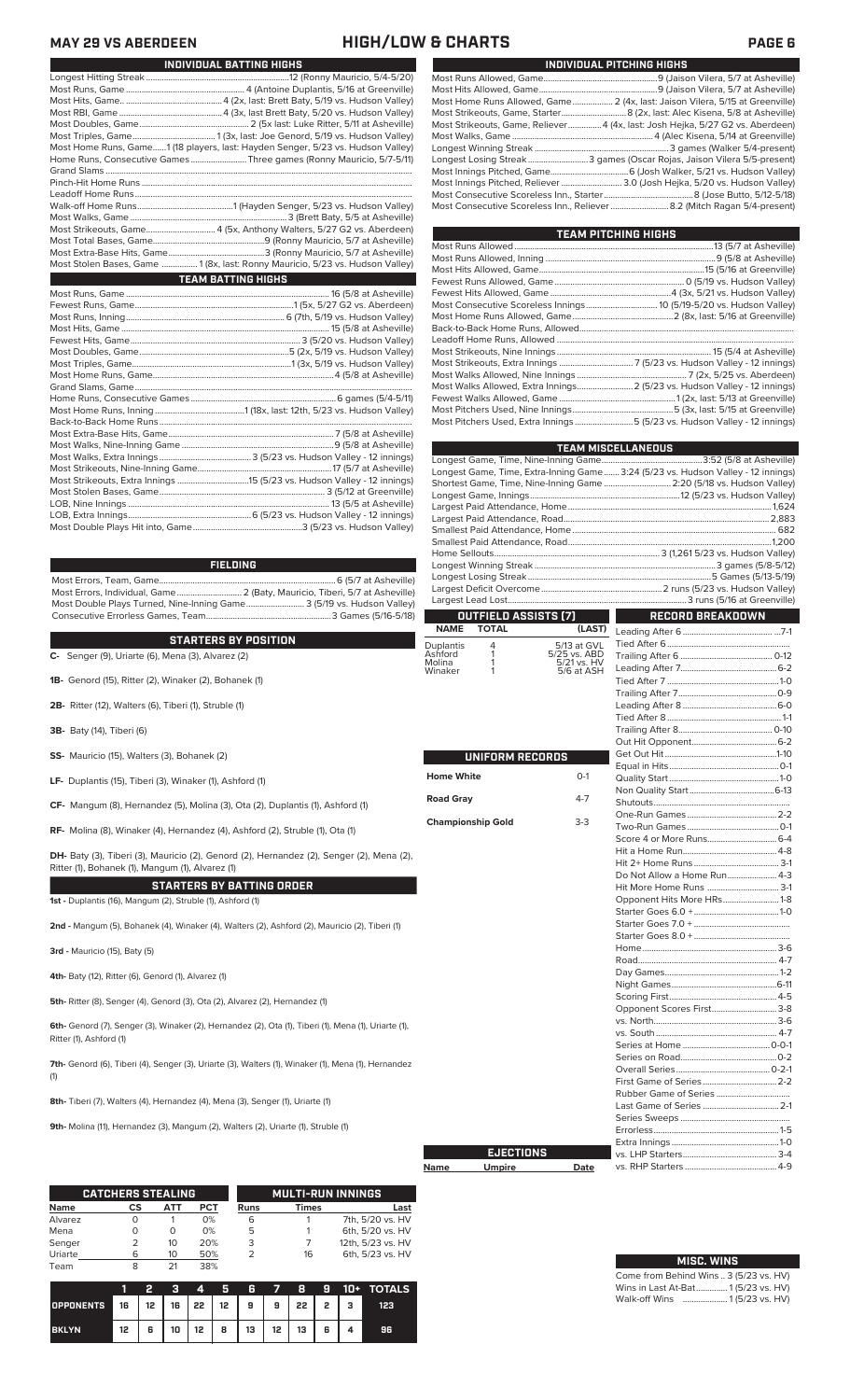**MAY 29 VS ABERDEEN HIGH/LOW & CHARTS** 

| INDIVIDUAL BATTING HIGHS                                                        |
|---------------------------------------------------------------------------------|
|                                                                                 |
|                                                                                 |
|                                                                                 |
|                                                                                 |
|                                                                                 |
|                                                                                 |
| Most Home Runs, Game1 (18 players, last: Hayden Senger, 5/23 vs. Hudson Valley) |
| Home Runs, Consecutive Games Three games (Ronny Mauricio, 5/7-5/11)             |
|                                                                                 |
|                                                                                 |
|                                                                                 |
|                                                                                 |
|                                                                                 |
|                                                                                 |
|                                                                                 |
|                                                                                 |
| Most Stolen Bases, Game  1 (8x, last: Ronny Mauricio, 5/23 vs. Hudson Valley)   |
| <b>TEAM BATTING HIGHS</b>                                                       |
|                                                                                 |
|                                                                                 |
|                                                                                 |
|                                                                                 |
|                                                                                 |
|                                                                                 |
|                                                                                 |
|                                                                                 |
|                                                                                 |
|                                                                                 |
|                                                                                 |
|                                                                                 |
|                                                                                 |
|                                                                                 |
|                                                                                 |
|                                                                                 |
|                                                                                 |
|                                                                                 |

### **FIELDING**

Most Errors, Team, Game...............................................................................6 (5/7 at Asheville) .<br>2 (Baty, Mauricio, Tiberi, 5/7 at Asheville)<br>e........................... 3 (5/19 vs. Hudson Valley) Most Double Plays Turned, Nine-Inning Game.......................... 3 (5/19 vs. Hudson Valley) Consecutive Errorless Games, Team.

LOB, Nine Innings .......................................................................................... 13 (5/5 at Asheville) LOB, Extra Innings.......................................................6 (5/23 vs. Hudson Valley - 12 innings) Most Double Plays Hit into, Game.................................................3 (5/23 vs. Hudson Valley)

**STARTERS BY POSITION**

- **C-** Senger (9), Uriarte (6), Mena (3), Alvarez (2)
- **1B-** Genord (15), Ritter (2), Winaker (2), Bohanek (1)
- **2B-** Ritter (12), Walters (6), Tiberi (1), Struble (1)
- **3B-** Baty (14), Tiberi (6)
- **SS-** Mauricio (15), Walters (3), Bohanek (2)
- **LF-** Duplantis (15), Tiberi (3), Winaker (1), Ashford (1)
- **CF-** Mangum (8), Hernandez (5), Molina (3), Ota (2), Duplantis (1), Ashford (1)

**RF-** Molina (8), Winaker (4), Hernandez (4), Ashford (2), Struble (1), Ota (1)

**DH-** Baty (3), Tiberi (3), Mauricio (2), Genord (2), Hernandez (2), Senger (2), Mena (2), Ritter (1), Bohanek (1), Mangum (1), Alvarez (1)

**STARTERS BY BATTING ORDER**

**1st -** Duplantis (16), Mangum (2), Struble (1), Ashford (1)

**2nd -** Mangum (5), Bohanek (4), Winaker (4), Walters (2), Ashford (2), Mauricio (2), Tiberi (1)

**3rd -** Mauricio (15), Baty (5)

**4th-** Baty (12), Ritter (6), Genord (1), Alvarez (1)

**5th-** Ritter (8), Senger (4), Genord (3), Ota (2), Alvarez (2), Hernandez (1)

**6th-** Genord (7), Senger (3), Winaker (2), Hernandez (2), Ota (1), Tiberi (1), Mena (1), Uriarte (1), Ritter (1), Ashford (1)

**7th-** Genord (6), Tiberi (4), Senger (3), Uriarte (3), Walters (1), Winaker (1), Mena (1), Hernandez (1)

**8th-** Tiberi (7), Walters (4), Hernandez (4), Mena (3), Senger (1), Uriarte (1)

**9th-** Molina (11), Hernandez (3), Mangum (2), Walters (2), Uriarte (1), Struble (1)

|             | <b>CATCHERS STEALING</b> |     |     |             | <b>MULTI-RUN INNINGS</b> |                   |  |  |
|-------------|--------------------------|-----|-----|-------------|--------------------------|-------------------|--|--|
| <b>Name</b> | CS                       | АТТ | PCT | <b>Runs</b> | <b>Times</b>             | Last              |  |  |
| Alvarez     |                          |     | 0%  | 6           |                          | 7th, 5/20 vs. HV  |  |  |
| Mena        | Ω                        | Ο   | 0%  | 5           |                          | 6th, 5/20 vs. HV  |  |  |
| Senger      |                          | 10  | 20% | 3           |                          | 12th, 5/23 vs. HV |  |  |
| Uriarte     | 6                        | 10  | 50% | っ           | 16                       | 6th, 5/23 vs. HV  |  |  |
| Team        | 8                        |     | 38% |             |                          |                   |  |  |

|                  |                     |   |    | 4                | ы | R                                  | $\overline{7}$ | 8  | - 91 |    | 10+ TOTALS |
|------------------|---------------------|---|----|------------------|---|------------------------------------|----------------|----|------|----|------------|
| <b>OPPONENTS</b> | $\blacktriangle$ 16 |   |    |                  |   | 12   16   22   12   9   9   22   2 |                |    |      | -3 | 123        |
| <b>BKLYN</b>     | 12                  | 6 | 10 | 12 <sup>12</sup> | 8 | 13                                 | $12 \mid$      | 13 | 6    |    | 96         |

| INDIVIDUAL PITCHING HIGHS                                                     |
|-------------------------------------------------------------------------------|
|                                                                               |
|                                                                               |
| Most Home Runs Allowed, Game 2 (4x, last: Jaison Vilera, 5/15 at Greenville)  |
|                                                                               |
| Most Strikeouts, Game, Reliever4 (4x, last: Josh Hejka, 5/27 G2 vs. Aberdeen) |
|                                                                               |
|                                                                               |
| Longest Losing Streak3 games (Oscar Rojas, Jaison Vilera 5/5-present)         |
|                                                                               |
| Most Innings Pitched, Reliever  3.0 (Josh Hejka, 5/20 vs. Hudson Valley)      |
|                                                                               |
|                                                                               |

| TEAM PITCHING HIGHS |                                                                           |
|---------------------|---------------------------------------------------------------------------|
|                     |                                                                           |
|                     |                                                                           |
|                     |                                                                           |
|                     |                                                                           |
|                     |                                                                           |
|                     |                                                                           |
|                     |                                                                           |
|                     |                                                                           |
|                     |                                                                           |
|                     |                                                                           |
|                     |                                                                           |
|                     |                                                                           |
|                     | Most Walks Allowed, Extra Innings 2 (5/23 vs. Hudson Valley - 12 innings) |
|                     |                                                                           |
|                     |                                                                           |
|                     | Most Pitchers Used, Extra Innings 5 (5/23 vs. Hudson Valley - 12 innings) |

|                   |                             |                             | TEAM MISCELLANEOUS                                                               |  |
|-------------------|-----------------------------|-----------------------------|----------------------------------------------------------------------------------|--|
|                   |                             |                             |                                                                                  |  |
|                   |                             |                             | Longest Game, Time, Extra-Inning Game 3:24 (5/23 vs. Hudson Valley - 12 innings) |  |
|                   |                             |                             | Shortest Game, Time, Nine-Inning Game  2:20 (5/18 vs. Hudson Valley)             |  |
|                   |                             |                             |                                                                                  |  |
|                   |                             |                             |                                                                                  |  |
|                   |                             |                             |                                                                                  |  |
|                   |                             |                             |                                                                                  |  |
|                   |                             |                             |                                                                                  |  |
|                   |                             |                             |                                                                                  |  |
|                   |                             |                             |                                                                                  |  |
|                   |                             |                             |                                                                                  |  |
|                   |                             |                             |                                                                                  |  |
|                   | <b>OUTFIELD ASSISTS [7]</b> |                             | <b>RECORD BREAKDOWN</b>                                                          |  |
| <b>NAME</b>       | <b>TOTAL</b>                | (LAST)                      |                                                                                  |  |
| Duplantis         | 4                           | 5/13 at GVL                 |                                                                                  |  |
| Ashford<br>Molina | 1<br>1                      | 5/25 vs. ABD<br>5/21 vs. HV |                                                                                  |  |
| Winaker           | 1                           | 5/6 at ASH                  |                                                                                  |  |
|                   |                             |                             |                                                                                  |  |
|                   |                             |                             |                                                                                  |  |
|                   |                             |                             |                                                                                  |  |
|                   |                             |                             |                                                                                  |  |
|                   |                             |                             |                                                                                  |  |
|                   |                             |                             |                                                                                  |  |
|                   | UNIFORM RECORDS             |                             |                                                                                  |  |
|                   |                             |                             |                                                                                  |  |
| <b>Home White</b> |                             | $O-1$                       |                                                                                  |  |
| <b>Road Gray</b>  |                             | $4 - 7$                     |                                                                                  |  |
|                   |                             |                             |                                                                                  |  |
|                   | <b>Championship Gold</b>    | $3-3$                       |                                                                                  |  |
|                   |                             |                             |                                                                                  |  |
|                   |                             |                             |                                                                                  |  |
|                   |                             |                             |                                                                                  |  |
|                   |                             |                             | Do Not Allow a Home Run 4-3                                                      |  |
|                   |                             |                             | Hit More Home Runs  3-1                                                          |  |
|                   |                             |                             | Opponent Hits More HRs1-8                                                        |  |
|                   |                             |                             |                                                                                  |  |
|                   |                             |                             |                                                                                  |  |
|                   |                             |                             |                                                                                  |  |
|                   |                             |                             |                                                                                  |  |
|                   |                             |                             |                                                                                  |  |
|                   |                             |                             |                                                                                  |  |
|                   |                             |                             |                                                                                  |  |
|                   |                             |                             |                                                                                  |  |
|                   |                             |                             | Opponent Scores First 3-8                                                        |  |
|                   |                             |                             |                                                                                  |  |
|                   |                             |                             |                                                                                  |  |
|                   |                             |                             |                                                                                  |  |
|                   |                             |                             |                                                                                  |  |
|                   |                             |                             |                                                                                  |  |
|                   |                             |                             |                                                                                  |  |
|                   |                             |                             | Last Game of Series  2-1                                                         |  |
|                   |                             |                             |                                                                                  |  |
|                   |                             |                             |                                                                                  |  |
|                   |                             |                             |                                                                                  |  |
|                   | <b>EJECTIONS</b>            |                             |                                                                                  |  |
| Name              | <u>Umpire</u>               | Date                        |                                                                                  |  |
|                   |                             |                             |                                                                                  |  |

| <b>MISC. WINS</b>                      |
|----------------------------------------|
| Come from Behind Wins  3 (5/23 vs. HV) |
| Wins in Last At-Bat 1(5/23 vs. HV)     |
| Walk-off Wins  1(5/23 vs. HV)          |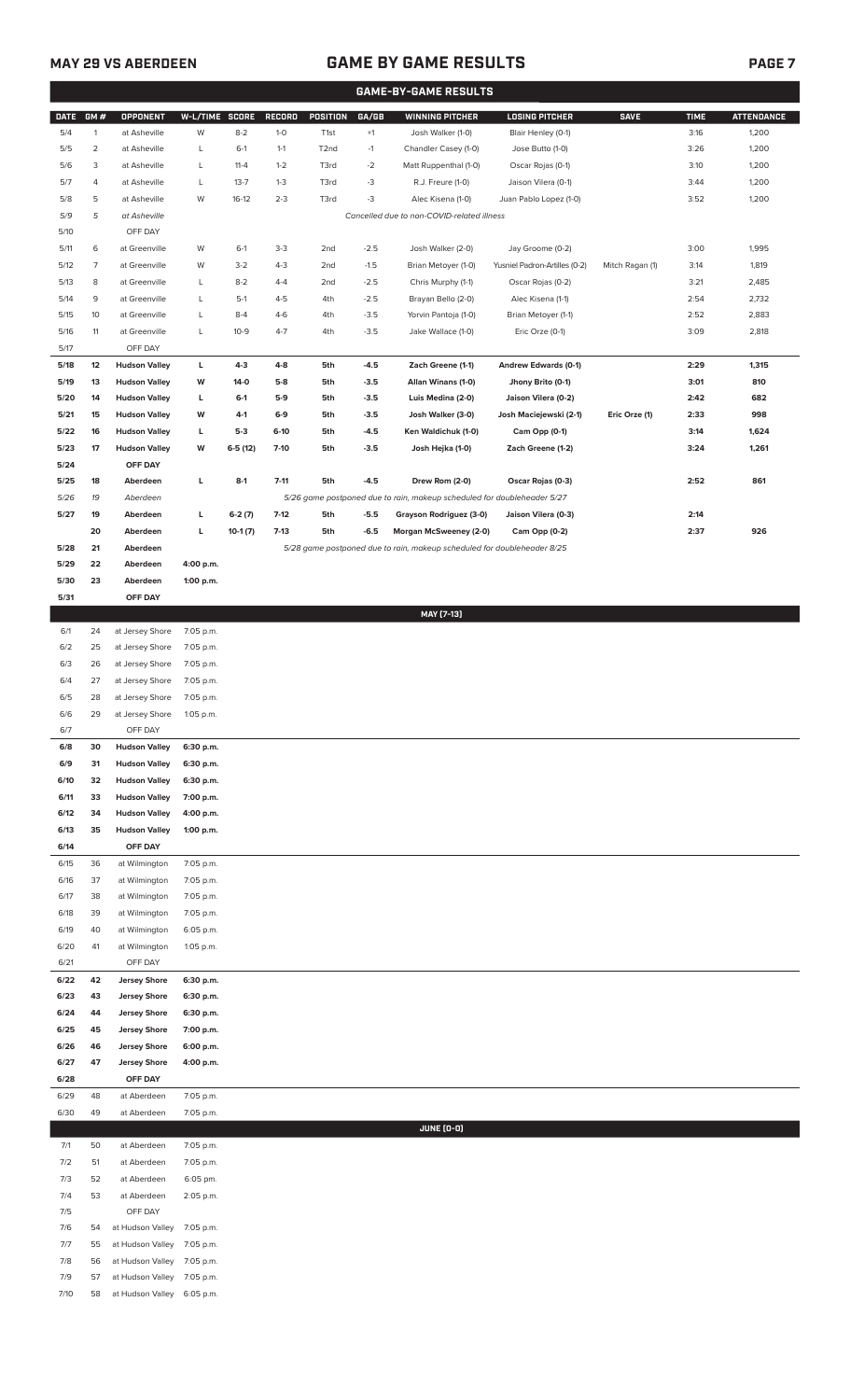## **MAY 29 VS ABERDEEN GAME BY GAME RESULTS PAGE 7**

|              |                     |                                |                        |                  |                  |                                    |                  | <b>GAME-BY-GAME RESULTS</b>                                             |                                                   |                 |              |                   |
|--------------|---------------------|--------------------------------|------------------------|------------------|------------------|------------------------------------|------------------|-------------------------------------------------------------------------|---------------------------------------------------|-----------------|--------------|-------------------|
| DATE GM #    |                     | <b>OPPONENT</b>                | W-L/TIME SCORE         |                  | RECORD           | POSITION                           | GA/GB            | <b>WINNING PITCHER</b>                                                  | <b>LOSING PITCHER</b>                             | <b>SAVE</b>     | <b>TIME</b>  | <b>ATTENDANCE</b> |
| 5/4          | $\mathbf{1}$        | at Asheville                   | W                      | $8 - 2$          | $1-0$            | T <sub>1st</sub>                   | $+1$             | Josh Walker (1-0)                                                       | Blair Henley (0-1)                                |                 | 3:16         | 1,200             |
| 5/5          | $\overline{2}$      | at Asheville                   | L                      | $6-1$            | $1 - 1$          | T <sub>2</sub> nd                  | $-1$             | Chandler Casey (1-0)                                                    | Jose Butto (1-0)                                  |                 | 3:26         | 1,200             |
| 5/6          | 3                   | at Asheville                   | L                      | $11 - 4$         | $1 - 2$          | T3rd                               | $-2$             | Matt Ruppenthal (1-0)                                                   | Oscar Rojas (0-1)                                 |                 | 3:10         | 1,200             |
| 5/7          | 4                   | at Asheville                   | L                      | $13 - 7$         | $1 - 3$          | T3rd                               | $-3$             | R.J. Freure (1-0)                                                       | Jaison Vilera (0-1)                               |                 | 3:44         | 1,200             |
| 5/8          | 5                   | at Asheville                   | W                      | $16-12$          | $2 - 3$          | T3rd                               | $-3$             | Alec Kisena (1-0)                                                       | Juan Pablo Lopez (1-0)                            |                 | 3:52         | 1,200             |
| 5/9          | 5                   | at Asheville                   |                        |                  |                  |                                    |                  | Cancelled due to non-COVID-related illness                              |                                                   |                 |              |                   |
| 5/10         |                     | OFF DAY<br>at Greenville       |                        |                  |                  |                                    |                  |                                                                         |                                                   |                 |              |                   |
| 5/11<br>5/12 | 6<br>$\overline{7}$ | at Greenville                  | W<br>W                 | $6-1$<br>$3 - 2$ | $3-3$<br>$4 - 3$ | 2 <sub>nd</sub><br>2 <sub>nd</sub> | $-2.5$<br>$-1.5$ | Josh Walker (2-0)<br>Brian Metoyer (1-0)                                | Jay Groome (0-2)<br>Yusniel Padron-Artilles (0-2) | Mitch Ragan (1) | 3:00<br>3:14 | 1,995<br>1,819    |
| 5/13         | 8                   | at Greenville                  | L                      | $8 - 2$          | $4 - 4$          | 2 <sub>nd</sub>                    | $-2.5$           | Chris Murphy (1-1)                                                      | Oscar Rojas (0-2)                                 |                 | 3:21         | 2,485             |
| 5/14         | 9                   | at Greenville                  | L                      | $5-1$            | $4 - 5$          | 4th                                | $-2.5$           | Brayan Bello (2-0)                                                      | Alec Kisena (1-1)                                 |                 | 2:54         | 2,732             |
| 5/15         | 10                  | at Greenville                  | L                      | $8 - 4$          | $4-6$            | 4th                                | $-3.5$           | Yorvin Pantoja (1-0)                                                    | Brian Metoyer (1-1)                               |                 | 2:52         | 2,883             |
| 5/16         | 11                  | at Greenville                  | L                      | $10-9$           | $4 - 7$          | 4th                                | $-3.5$           | Jake Wallace (1-0)                                                      | Eric Orze (0-1)                                   |                 | 3:09         | 2,818             |
| 5/17         |                     | OFF DAY                        |                        |                  |                  |                                    |                  |                                                                         |                                                   |                 |              |                   |
| 5/18         | 12                  | <b>Hudson Valley</b>           | L                      | $4-3$            | $4 - 8$          | 5th                                | $-4.5$           | Zach Greene (1-1)                                                       | Andrew Edwards (0-1)                              |                 | 2:29         | 1,315             |
| 5/19         | 13                  | <b>Hudson Valley</b>           | W                      | $14-0$           | $5-8$            | 5th                                | $-3.5$           | Allan Winans (1-0)                                                      | Jhony Brito (0-1)                                 |                 | 3:01         | 810               |
| 5/20         | 14                  | <b>Hudson Valley</b>           | г                      | $6-1$            | $5-9$            | 5th                                | $-3.5$           | Luis Medina (2-0)                                                       | Jaison Vilera (0-2)                               |                 | 2:42         | 682               |
| 5/21         | 15                  | <b>Hudson Valley</b>           | W                      | $4-1$            | $6-9$            | 5th                                | $-3.5$           | Josh Walker (3-0)                                                       | Josh Maciejewski (2-1)                            | Eric Orze (1)   | 2:33         | 998               |
| 5/22         | 16                  | <b>Hudson Valley</b>           | г                      | $5-3$            | $6-10$           | 5th                                | $-4.5$           | Ken Waldichuk (1-0)                                                     | Cam Opp (0-1)                                     |                 | 3:14         | 1,624             |
| 5/23         | 17                  | <b>Hudson Valley</b>           | W                      | $6-5(12)$        | $7-10$           | 5th                                | $-3.5$           | Josh Hejka (1-0)                                                        | Zach Greene (1-2)                                 |                 | 3:24         | 1,261             |
| 5/24<br>5/25 | 18                  | OFF DAY<br>Aberdeen            | L                      | $8-1$            | $7 - 11$         | 5th                                | $-4.5$           | Drew Rom (2-0)                                                          | Oscar Rojas (0-3)                                 |                 | 2:52         | 861               |
| 5/26         | 19                  | Aberdeen                       |                        |                  |                  |                                    |                  | 5/26 game postponed due to rain, makeup scheduled for doubleheader 5/27 |                                                   |                 |              |                   |
| 5/27         | 19                  | Aberdeen                       | L                      | $6-2(7)$         | $7-12$           | 5th                                | $-5.5$           | Grayson Rodriguez (3-0)                                                 | Jaison Vilera (0-3)                               |                 | 2:14         |                   |
|              | 20                  | Aberdeen                       | г                      | $10-1(7)$        | $7-13$           | 5th                                | $-6.5$           | Morgan McSweeney (2-0)                                                  | Cam Opp (0-2)                                     |                 | 2:37         | 926               |
| 5/28         | 21                  | Aberdeen                       |                        |                  |                  |                                    |                  | 5/28 game postponed due to rain, makeup scheduled for doubleheader 8/25 |                                                   |                 |              |                   |
| 5/29         | 22                  | Aberdeen                       | 4:00 p.m.              |                  |                  |                                    |                  |                                                                         |                                                   |                 |              |                   |
| 5/30         | 23                  | Aberdeen                       | 1:00 p.m.              |                  |                  |                                    |                  |                                                                         |                                                   |                 |              |                   |
| 5/31         |                     | OFF DAY                        |                        |                  |                  |                                    |                  |                                                                         |                                                   |                 |              |                   |
|              |                     |                                |                        |                  |                  |                                    |                  | MAY [7-13]                                                              |                                                   |                 |              |                   |
| 6/1          | 24                  | at Jersey Shore                | 7:05 p.m.              |                  |                  |                                    |                  |                                                                         |                                                   |                 |              |                   |
| 6/2          | 25                  | at Jersey Shore                | 7:05 p.m.              |                  |                  |                                    |                  |                                                                         |                                                   |                 |              |                   |
| 6/3          | 26                  | at Jersey Shore                | 7:05 p.m.              |                  |                  |                                    |                  |                                                                         |                                                   |                 |              |                   |
| 6/4          | 27                  | at Jersey Shore                | 7:05 p.m.              |                  |                  |                                    |                  |                                                                         |                                                   |                 |              |                   |
| 6/5          | 28                  | at Jersey Shore                | 7:05 p.m.              |                  |                  |                                    |                  |                                                                         |                                                   |                 |              |                   |
| 6/6<br>6/7   | 29                  | at Jersey Shore<br>OFF DAY     | 1:05 p.m.              |                  |                  |                                    |                  |                                                                         |                                                   |                 |              |                   |
| 6/8          | 30                  | <b>Hudson Valley</b>           | 6:30 p.m.              |                  |                  |                                    |                  |                                                                         |                                                   |                 |              |                   |
| 6/9          | 31                  | <b>Hudson Valley</b>           | 6:30 p.m.              |                  |                  |                                    |                  |                                                                         |                                                   |                 |              |                   |
| 6/10         | 32                  | <b>Hudson Valley</b>           | 6:30 p.m.              |                  |                  |                                    |                  |                                                                         |                                                   |                 |              |                   |
| 6/11         | 33                  | <b>Hudson Valley</b>           | 7:00 p.m.              |                  |                  |                                    |                  |                                                                         |                                                   |                 |              |                   |
| 6/12         | 34                  | <b>Hudson Valley</b>           | 4:00 p.m.              |                  |                  |                                    |                  |                                                                         |                                                   |                 |              |                   |
| 6/13         | 35                  | <b>Hudson Valley</b>           | 1:00 p.m.              |                  |                  |                                    |                  |                                                                         |                                                   |                 |              |                   |
| 6/14         |                     | OFF DAY                        |                        |                  |                  |                                    |                  |                                                                         |                                                   |                 |              |                   |
| 6/15         | 36                  | at Wilmington                  | 7:05 p.m.              |                  |                  |                                    |                  |                                                                         |                                                   |                 |              |                   |
| 6/16         | 37                  | at Wilmington                  | 7:05 p.m.              |                  |                  |                                    |                  |                                                                         |                                                   |                 |              |                   |
| 6/17         | 38                  | at Wilmington                  | 7:05 p.m.              |                  |                  |                                    |                  |                                                                         |                                                   |                 |              |                   |
| 6/18<br>6/19 | 39<br>40            | at Wilmington<br>at Wilmington | 7:05 p.m.<br>6:05 p.m. |                  |                  |                                    |                  |                                                                         |                                                   |                 |              |                   |
| 6/20         | 41                  | at Wilmington                  | 1:05 p.m.              |                  |                  |                                    |                  |                                                                         |                                                   |                 |              |                   |
| 6/21         |                     | OFF DAY                        |                        |                  |                  |                                    |                  |                                                                         |                                                   |                 |              |                   |
| 6/22         | 42                  | <b>Jersey Shore</b>            | 6:30 p.m.              |                  |                  |                                    |                  |                                                                         |                                                   |                 |              |                   |
| 6/23         | 43                  | <b>Jersey Shore</b>            | 6:30 p.m.              |                  |                  |                                    |                  |                                                                         |                                                   |                 |              |                   |
| 6/24         | 44                  | <b>Jersey Shore</b>            | 6:30 p.m.              |                  |                  |                                    |                  |                                                                         |                                                   |                 |              |                   |
| 6/25         | 45                  | <b>Jersey Shore</b>            | 7:00 p.m.              |                  |                  |                                    |                  |                                                                         |                                                   |                 |              |                   |
| 6/26         | 46                  | <b>Jersey Shore</b>            | 6:00 p.m.              |                  |                  |                                    |                  |                                                                         |                                                   |                 |              |                   |
| 6/27         | 47                  | <b>Jersey Shore</b>            | 4:00 p.m.              |                  |                  |                                    |                  |                                                                         |                                                   |                 |              |                   |
| 6/28         |                     | OFF DAY                        |                        |                  |                  |                                    |                  |                                                                         |                                                   |                 |              |                   |
| 6/29         | 48                  | at Aberdeen                    | 7:05 p.m.              |                  |                  |                                    |                  |                                                                         |                                                   |                 |              |                   |
| 6/30         | 49                  | at Aberdeen                    | 7:05 p.m.              |                  |                  |                                    |                  |                                                                         |                                                   |                 |              |                   |
|              |                     |                                |                        |                  |                  |                                    |                  | <b>JUNE (0-0)</b>                                                       |                                                   |                 |              |                   |
| 7/1          | 50                  | at Aberdeen                    | 7:05 p.m.              |                  |                  |                                    |                  |                                                                         |                                                   |                 |              |                   |
| 7/2          | 51                  | at Aberdeen<br>at Aberdeen     | 7:05 p.m.              |                  |                  |                                    |                  |                                                                         |                                                   |                 |              |                   |
| 7/3<br>7/4   | 52<br>53            | at Aberdeen                    | 6:05 pm.<br>2:05 p.m.  |                  |                  |                                    |                  |                                                                         |                                                   |                 |              |                   |
| 7/5          |                     | OFF DAY                        |                        |                  |                  |                                    |                  |                                                                         |                                                   |                 |              |                   |
| 7/6          | 54                  | at Hudson Valley               | 7:05 p.m.              |                  |                  |                                    |                  |                                                                         |                                                   |                 |              |                   |
| 7/7          | 55                  | at Hudson Valley               | 7:05 p.m.              |                  |                  |                                    |                  |                                                                         |                                                   |                 |              |                   |
| 7/8          | 56                  | at Hudson Valley               | 7:05 p.m.              |                  |                  |                                    |                  |                                                                         |                                                   |                 |              |                   |
| 7/9          | 57                  | at Hudson Valley               | 7:05 p.m.              |                  |                  |                                    |                  |                                                                         |                                                   |                 |              |                   |

7/10 58 at Hudson Valley 6:05 p.m.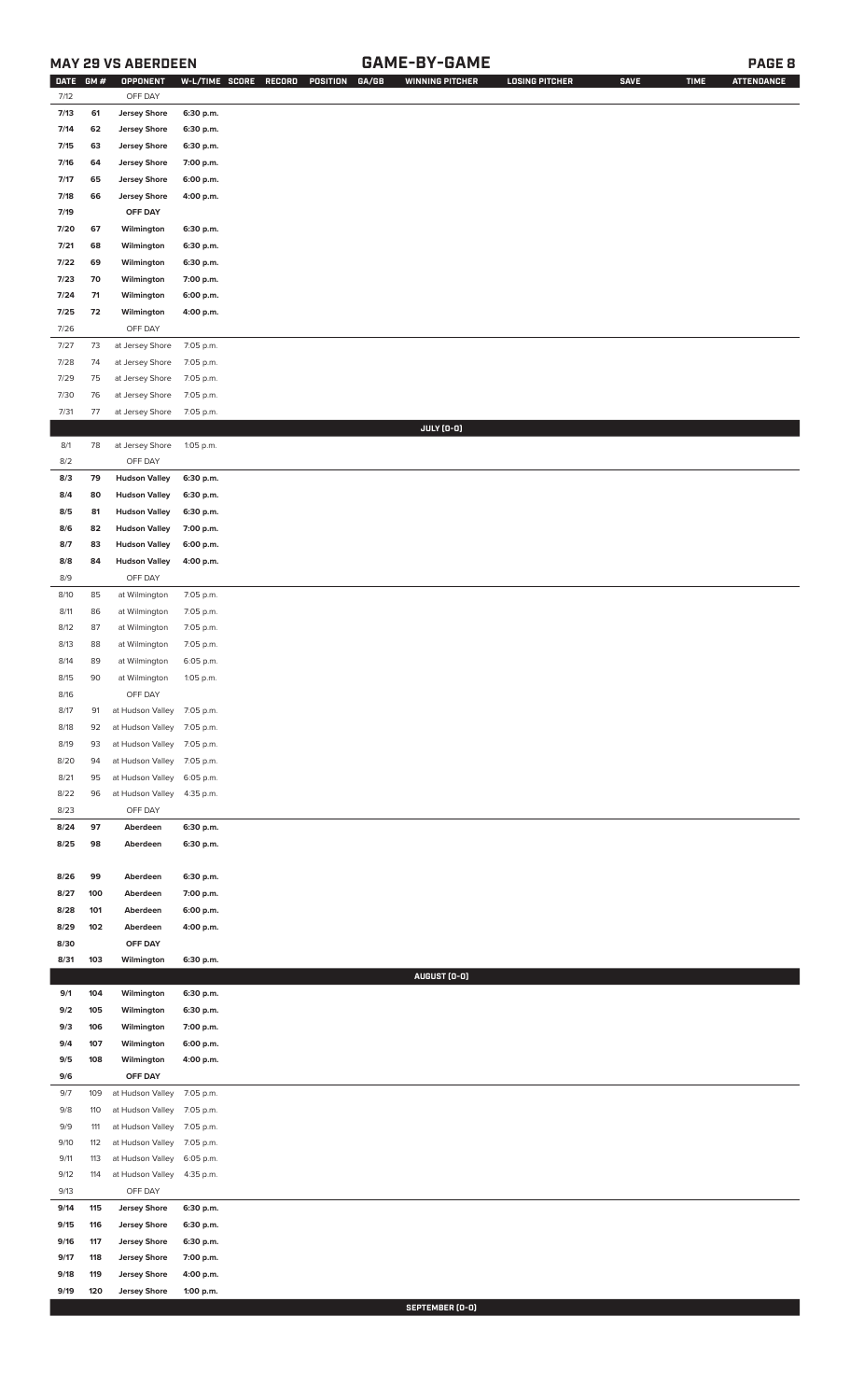## **MAY 29 VS ABERDEEN GAME-BY-GAME PAGE 8**

| <b>DATE</b> | GM# | OPPONENT             | W-L/TIME SCORE | RECORD | GA/GB<br>POSITION | <b>WINNING PITCHER</b> | <b>LOSING PITCHER</b> | <b>SAVE</b> | <b>TIME</b> | <b>ATTENDANCE</b> |
|-------------|-----|----------------------|----------------|--------|-------------------|------------------------|-----------------------|-------------|-------------|-------------------|
| 7/12        |     | OFF DAY              |                |        |                   |                        |                       |             |             |                   |
| 7/13        | 61  | <b>Jersey Shore</b>  | 6:30 p.m.      |        |                   |                        |                       |             |             |                   |
| 7/14        | 62  | <b>Jersey Shore</b>  | 6:30 p.m.      |        |                   |                        |                       |             |             |                   |
| 7/15        | 63  | <b>Jersey Shore</b>  | 6:30 p.m.      |        |                   |                        |                       |             |             |                   |
| 7/16        | 64  | <b>Jersey Shore</b>  | 7:00 p.m.      |        |                   |                        |                       |             |             |                   |
| 7/17        | 65  | <b>Jersey Shore</b>  | 6:00 p.m.      |        |                   |                        |                       |             |             |                   |
| 7/18        | 66  | <b>Jersey Shore</b>  | 4:00 p.m.      |        |                   |                        |                       |             |             |                   |
| 7/19        |     | OFF DAY              |                |        |                   |                        |                       |             |             |                   |
| 7/20        | 67  | Wilmington           | 6:30 p.m.      |        |                   |                        |                       |             |             |                   |
| 7/21        | 68  | Wilmington           | 6:30 p.m.      |        |                   |                        |                       |             |             |                   |
|             |     |                      |                |        |                   |                        |                       |             |             |                   |
| 7/22        | 69  | Wilmington           | 6:30 p.m.      |        |                   |                        |                       |             |             |                   |
| 7/23        | 70  | Wilmington           | 7:00 p.m.      |        |                   |                        |                       |             |             |                   |
| 7/24        | 71  | Wilmington           | 6:00 p.m.      |        |                   |                        |                       |             |             |                   |
| 7/25        | 72  | Wilmington           | 4:00 p.m.      |        |                   |                        |                       |             |             |                   |
| 7/26        |     | OFF DAY              |                |        |                   |                        |                       |             |             |                   |
| 7/27        | 73  | at Jersey Shore      | 7:05 p.m.      |        |                   |                        |                       |             |             |                   |
| 7/28        | 74  | at Jersey Shore      | 7:05 p.m.      |        |                   |                        |                       |             |             |                   |
| 7/29        | 75  | at Jersey Shore      | 7:05 p.m.      |        |                   |                        |                       |             |             |                   |
| 7/30        | 76  | at Jersey Shore      | 7:05 p.m.      |        |                   |                        |                       |             |             |                   |
| 7/31        | 77  | at Jersey Shore      | 7:05 p.m.      |        |                   |                        |                       |             |             |                   |
|             |     |                      |                |        |                   | JULY (0-0)             |                       |             |             |                   |
| 8/1         | 78  | at Jersey Shore      | 1:05 p.m.      |        |                   |                        |                       |             |             |                   |
| 8/2         |     | OFF DAY              |                |        |                   |                        |                       |             |             |                   |
| 8/3         | 79  | <b>Hudson Valley</b> | 6:30 p.m.      |        |                   |                        |                       |             |             |                   |
| 8/4         | 80  | <b>Hudson Valley</b> | 6:30 p.m.      |        |                   |                        |                       |             |             |                   |
| 8/5         | 81  | <b>Hudson Valley</b> | 6:30 p.m.      |        |                   |                        |                       |             |             |                   |
| 8/6         | 82  | <b>Hudson Valley</b> | 7:00 p.m.      |        |                   |                        |                       |             |             |                   |
| 8/7         | 83  | <b>Hudson Valley</b> | 6:00 p.m.      |        |                   |                        |                       |             |             |                   |
| 8/8         | 84  | <b>Hudson Valley</b> | 4:00 p.m.      |        |                   |                        |                       |             |             |                   |
| 8/9         |     | OFF DAY              |                |        |                   |                        |                       |             |             |                   |
| 8/10        | 85  | at Wilmington        | 7:05 p.m.      |        |                   |                        |                       |             |             |                   |
| 8/11        | 86  | at Wilmington        | 7:05 p.m.      |        |                   |                        |                       |             |             |                   |
| 8/12        | 87  | at Wilmington        | 7:05 p.m.      |        |                   |                        |                       |             |             |                   |
| 8/13        | 88  | at Wilmington        | 7:05 p.m.      |        |                   |                        |                       |             |             |                   |
| 8/14        | 89  | at Wilmington        | 6:05 p.m.      |        |                   |                        |                       |             |             |                   |
| 8/15        | 90  | at Wilmington        |                |        |                   |                        |                       |             |             |                   |
| 8/16        |     | OFF DAY              | 1:05 p.m.      |        |                   |                        |                       |             |             |                   |
|             |     |                      |                |        |                   |                        |                       |             |             |                   |
| 8/17        | 91  | at Hudson Valley     | 7:05 p.m.      |        |                   |                        |                       |             |             |                   |
| 8/18        | 92  | at Hudson Valley     | 7:05 p.m.      |        |                   |                        |                       |             |             |                   |
| 8/19        | 93  | at Hudson Valley     | 7:05 p.m.      |        |                   |                        |                       |             |             |                   |
| 8/20        | 94  | at Hudson Valley     | 7:05 p.m.      |        |                   |                        |                       |             |             |                   |
| 8/21        | 95  | at Hudson Valley     | 6:05 p.m.      |        |                   |                        |                       |             |             |                   |
| 8/22        | 96  | at Hudson Valley     | 4:35 p.m.      |        |                   |                        |                       |             |             |                   |
| 8/23        |     | OFF DAY              |                |        |                   |                        |                       |             |             |                   |
| 8/24        | 97  | Aberdeen             | 6:30 p.m.      |        |                   |                        |                       |             |             |                   |
| 8/25        | 98  | Aberdeen             | 6:30 p.m.      |        |                   |                        |                       |             |             |                   |
|             |     |                      |                |        |                   |                        |                       |             |             |                   |
| 8/26        | 99  | Aberdeen             | 6:30 p.m.      |        |                   |                        |                       |             |             |                   |
| 8/27        | 100 | Aberdeen             | 7:00 p.m.      |        |                   |                        |                       |             |             |                   |
| 8/28        | 101 | Aberdeen             | 6:00 p.m.      |        |                   |                        |                       |             |             |                   |
| 8/29        | 102 | Aberdeen             | 4:00 p.m.      |        |                   |                        |                       |             |             |                   |
| 8/30        |     | OFF DAY              |                |        |                   |                        |                       |             |             |                   |
| 8/31        | 103 | Wilmington           | 6:30 p.m.      |        |                   |                        |                       |             |             |                   |
|             |     |                      |                |        |                   | AUGUST (0-0)           |                       |             |             |                   |
| 9/1         | 104 | Wilmington           | 6:30 p.m.      |        |                   |                        |                       |             |             |                   |
| 9/2         | 105 | Wilmington           | 6:30 p.m.      |        |                   |                        |                       |             |             |                   |
| 9/3         | 106 | Wilmington           | 7:00 p.m.      |        |                   |                        |                       |             |             |                   |
| 9/4         | 107 | Wilmington           | 6:00 p.m.      |        |                   |                        |                       |             |             |                   |
| 9/5         | 108 | Wilmington           | 4:00 p.m.      |        |                   |                        |                       |             |             |                   |
| 9/6         |     | OFF DAY              |                |        |                   |                        |                       |             |             |                   |
| 9/7         | 109 | at Hudson Valley     | 7:05 p.m.      |        |                   |                        |                       |             |             |                   |
| 9/8         | 110 | at Hudson Valley     | 7:05 p.m.      |        |                   |                        |                       |             |             |                   |
| 9/9         | 111 | at Hudson Valley     | 7:05 p.m.      |        |                   |                        |                       |             |             |                   |
| 9/10        | 112 | at Hudson Valley     | 7:05 p.m.      |        |                   |                        |                       |             |             |                   |
| 9/11        | 113 | at Hudson Valley     | 6:05 p.m.      |        |                   |                        |                       |             |             |                   |
| 9/12        | 114 | at Hudson Valley     | 4:35 p.m.      |        |                   |                        |                       |             |             |                   |
| 9/13        |     | OFF DAY              |                |        |                   |                        |                       |             |             |                   |
| 9/14        | 115 | <b>Jersey Shore</b>  | 6:30 p.m.      |        |                   |                        |                       |             |             |                   |
| 9/15        | 116 | <b>Jersey Shore</b>  | 6:30 p.m.      |        |                   |                        |                       |             |             |                   |
| 9/16        | 117 | <b>Jersey Shore</b>  | 6:30 p.m.      |        |                   |                        |                       |             |             |                   |
| 9/17        | 118 | <b>Jersey Shore</b>  | 7:00 p.m.      |        |                   |                        |                       |             |             |                   |
| 9/18        | 119 | <b>Jersey Shore</b>  | 4:00 p.m.      |        |                   |                        |                       |             |             |                   |
| 9/19        | 120 | <b>Jersey Shore</b>  | 1:00 p.m.      |        |                   |                        |                       |             |             |                   |

**SEPTEMBER (0-0)**